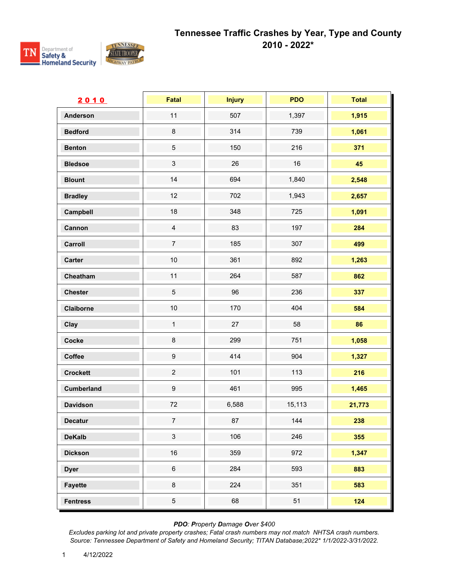



| 2010              | Fatal            | <b>Injury</b> | <b>PDO</b> | <b>Total</b> |
|-------------------|------------------|---------------|------------|--------------|
| <b>Anderson</b>   | 11               | 507           | 1,397      | 1,915        |
| <b>Bedford</b>    | $\bf 8$          | 314           | 739        | 1,061        |
| <b>Benton</b>     | $\sqrt{5}$       | 150           | 216        | 371          |
| <b>Bledsoe</b>    | $\sqrt{3}$       | 26            | 16         | 45           |
| <b>Blount</b>     | 14               | 694           | 1,840      | 2,548        |
| <b>Bradley</b>    | 12               | 702           | 1,943      | 2,657        |
| Campbell          | 18               | 348           | 725        | 1,091        |
| Cannon            | $\overline{4}$   | 83            | 197        | 284          |
| Carroll           | $\overline{7}$   | 185           | 307        | 499          |
| Carter            | $10$             | 361           | 892        | 1,263        |
| Cheatham          | 11               | 264           | 587        | 862          |
| <b>Chester</b>    | $\overline{5}$   | 96            | 236        | 337          |
| Claiborne         | 10               | 170           | 404        | 584          |
| Clay              | $\mathbf{1}$     | 27            | 58         | 86           |
| Cocke             | $\bf 8$          | 299           | 751        | 1,058        |
| Coffee            | $\boldsymbol{9}$ | 414           | 904        | 1,327        |
| <b>Crockett</b>   | $\overline{c}$   | 101           | 113        | 216          |
| <b>Cumberland</b> | $\boldsymbol{9}$ | 461           | 995        | 1,465        |
| <b>Davidson</b>   | 72               | 6,588         | 15,113     | 21,773       |
| Decatur           | $\boldsymbol{7}$ | 87            | 144        | 238          |
| <b>DeKalb</b>     | $\mathbf{3}$     | 106           | 246        | 355          |
| <b>Dickson</b>    | 16               | 359           | 972        | 1,347        |
| <b>Dyer</b>       | $\,6\,$          | 284           | 593        | 883          |
| <b>Fayette</b>    | $\bf 8$          | 224           | 351        | 583          |
| <b>Fentress</b>   | $\overline{5}$   | 68            | 51         | 124          |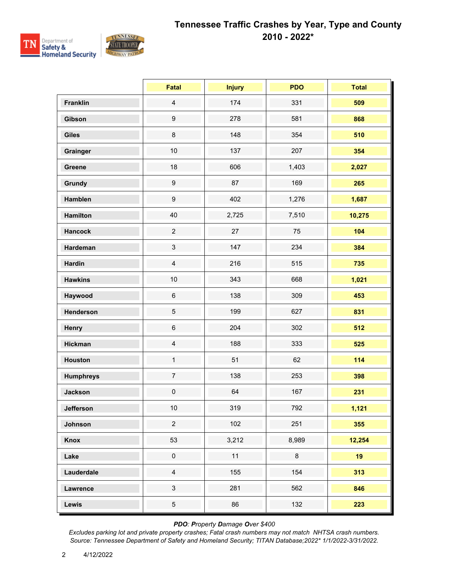

|                  | Fatal            | <b>Injury</b> | <b>PDO</b> | <b>Total</b> |
|------------------|------------------|---------------|------------|--------------|
| <b>Franklin</b>  | $\overline{4}$   | 174           | 331        | 509          |
| Gibson           | $\boldsymbol{9}$ | 278           | 581        | 868          |
| <b>Giles</b>     | $\bf 8$          | 148           | 354        | 510          |
| Grainger         | 10               | 137           | 207        | 354          |
| Greene           | 18               | 606           | 1,403      | 2,027        |
| Grundy           | $\boldsymbol{9}$ | 87            | 169        | 265          |
| Hamblen          | $\boldsymbol{9}$ | 402           | 1,276      | 1,687        |
| <b>Hamilton</b>  | 40               | 2,725         | 7,510      | 10,275       |
| <b>Hancock</b>   | $\overline{c}$   | 27            | 75         | 104          |
| Hardeman         | $\mathfrak{S}$   | 147           | 234        | 384          |
| <b>Hardin</b>    | $\overline{4}$   | 216           | 515        | 735          |
| <b>Hawkins</b>   | 10               | 343           | 668        | 1,021        |
| Haywood          | $\,6\,$          | 138           | 309        | 453          |
| Henderson        | $\overline{5}$   | 199           | 627        | 831          |
| Henry            | $\,6\,$          | 204           | 302        | 512          |
| <b>Hickman</b>   | $\overline{4}$   | 188           | 333        | 525          |
| <b>Houston</b>   | $\mathbf{1}$     | 51            | 62         | 114          |
| <b>Humphreys</b> | $\overline{7}$   | 138           | 253        | 398          |
| <b>Jackson</b>   | $\pmb{0}$        | 64            | 167        | 231          |
| Jefferson        | $10\,$           | 319           | 792        | 1,121        |
| Johnson          | $\overline{2}$   | 102           | 251        | 355          |
| Knox             | 53               | 3,212         | 8,989      | 12,254       |
| Lake             | $\pmb{0}$        | 11            | 8          | 19           |
| Lauderdale       | $\overline{4}$   | 155           | 154        | 313          |
| Lawrence         | $\mathfrak{S}$   | 281           | 562        | 846          |
| Lewis            | $\sqrt{5}$       | 86            | 132        | 223          |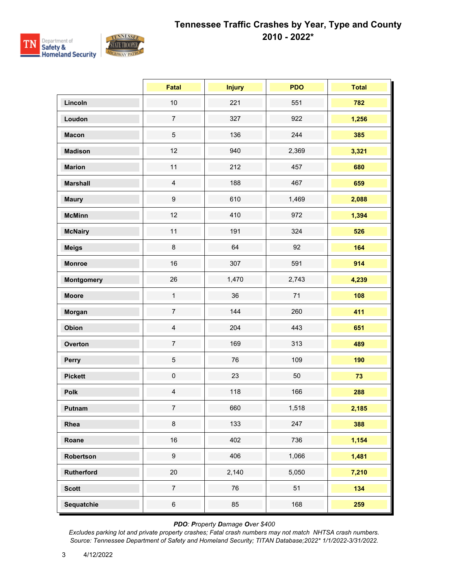

|                   | <b>Fatal</b>     | <b>Injury</b> | <b>PDO</b> | <b>Total</b> |
|-------------------|------------------|---------------|------------|--------------|
| Lincoln           | $10$             | 221           | 551        | 782          |
| Loudon            | $\boldsymbol{7}$ | 327           | 922        | 1,256        |
| <b>Macon</b>      | $\sqrt{5}$       | 136           | 244        | 385          |
| <b>Madison</b>    | 12               | 940           | 2,369      | 3,321        |
| <b>Marion</b>     | 11               | 212           | 457        | 680          |
| <b>Marshall</b>   | $\overline{4}$   | 188           | 467        | 659          |
| <b>Maury</b>      | $\boldsymbol{9}$ | 610           | 1,469      | 2,088        |
| <b>McMinn</b>     | 12               | 410           | 972        | 1,394        |
| <b>McNairy</b>    | 11               | 191           | 324        | 526          |
| <b>Meigs</b>      | $\bf 8$          | 64            | 92         | 164          |
| <b>Monroe</b>     | 16               | 307           | 591        | 914          |
| <b>Montgomery</b> | 26               | 1,470         | 2,743      | 4,239        |
| <b>Moore</b>      | $\mathbf{1}$     | 36            | 71         | 108          |
| Morgan            | $\boldsymbol{7}$ | 144           | 260        | 411          |
| Obion             | $\overline{4}$   | 204           | 443        | 651          |
| Overton           | $\boldsymbol{7}$ | 169           | 313        | 489          |
| Perry             | $\sqrt{5}$       | 76            | 109        | 190          |
| <b>Pickett</b>    | $\mathbf 0$      | 23            | 50         | 73           |
| Polk              | $\overline{4}$   | 118           | 166        | 288          |
| Putnam            | $\overline{7}$   | 660           | 1,518      | 2,185        |
| Rhea              | $\bf 8$          | 133           | 247        | 388          |
| Roane             | $16\,$           | 402           | 736        | 1,154        |
| Robertson         | $\boldsymbol{9}$ | 406           | 1,066      | 1,481        |
| Rutherford        | $20\,$           | 2,140         | 5,050      | 7,210        |
| <b>Scott</b>      | $\overline{7}$   | 76            | 51         | 134          |
| Sequatchie        | $\,6\,$          | 85            | 168        | 259          |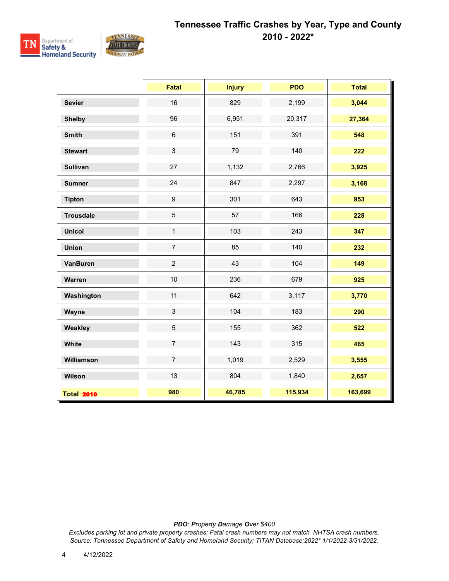

|                   | <b>Fatal</b>   | <b>Injury</b> | <b>PDO</b> | <b>Total</b> |
|-------------------|----------------|---------------|------------|--------------|
| <b>Sevier</b>     | 16             | 829           | 2,199      | 3,044        |
| <b>Shelby</b>     | 96             | 6,951         | 20,317     | 27,364       |
| <b>Smith</b>      | $\,6\,$        | 151           | 391        | 548          |
| <b>Stewart</b>    | $\mathfrak{S}$ | 79            | 140        | 222          |
| <b>Sullivan</b>   | 27             | 1,132         | 2,766      | 3,925        |
| <b>Sumner</b>     | 24             | 847           | 2,297      | 3,168        |
| <b>Tipton</b>     | 9              | 301           | 643        | 953          |
| <b>Trousdale</b>  | $\sqrt{5}$     | 57            | 166        | 228          |
| <b>Unicoi</b>     | $\mathbf{1}$   | 103           | 243        | 347          |
| <b>Union</b>      | $\overline{7}$ | 85            | 140        | 232          |
| <b>VanBuren</b>   | $\overline{2}$ | 43            | 104        | 149          |
| Warren            | 10             | 236           | 679        | 925          |
| Washington        | 11             | 642           | 3,117      | 3,770        |
| Wayne             | $\mathfrak{S}$ | 104           | 183        | 290          |
| Weakley           | $\sqrt{5}$     | 155           | 362        | 522          |
| White             | $\overline{7}$ | 143           | 315        | 465          |
| Williamson        | $\overline{7}$ | 1,019         | 2,529      | 3,555        |
| Wilson            | 13             | 804           | 1,840      | 2,657        |
| <b>Total 2010</b> | 980            | 46,785        | 115,934    | 163,699      |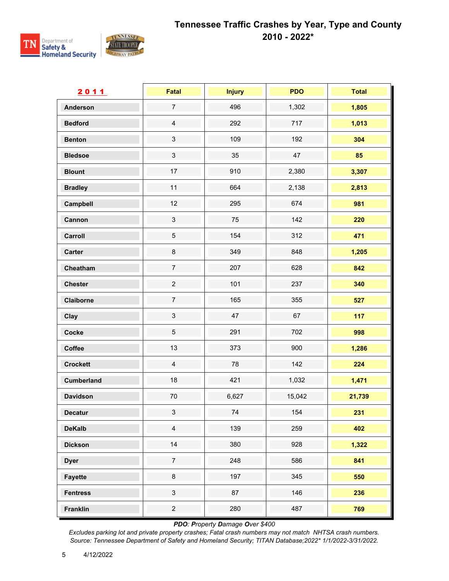

| 2011              | Fatal                     | <b>Injury</b> | <b>PDO</b> | <b>Total</b> |
|-------------------|---------------------------|---------------|------------|--------------|
| <b>Anderson</b>   | $\overline{7}$            | 496           | 1,302      | 1,805        |
| <b>Bedford</b>    | $\overline{4}$            | 292           | 717        | 1,013        |
| <b>Benton</b>     | $\ensuremath{\mathsf{3}}$ | 109           | 192        | 304          |
| <b>Bledsoe</b>    | $\ensuremath{\mathsf{3}}$ | 35            | 47         | 85           |
| <b>Blount</b>     | 17                        | 910           | 2,380      | 3,307        |
| <b>Bradley</b>    | 11                        | 664           | 2,138      | 2,813        |
| Campbell          | 12                        | 295           | 674        | 981          |
| Cannon            | $\ensuremath{\mathsf{3}}$ | 75            | 142        | 220          |
| Carroll           | $\,$ 5 $\,$               | 154           | 312        | 471          |
| <b>Carter</b>     | $\bf 8$                   | 349           | 848        | 1,205        |
| Cheatham          | $\overline{7}$            | 207           | 628        | 842          |
| <b>Chester</b>    | $\overline{c}$            | 101           | 237        | 340          |
| Claiborne         | $\overline{7}$            | 165           | 355        | 527          |
| Clay              | $\mathbf{3}$              | 47            | 67         | 117          |
| Cocke             | $\,$ 5 $\,$               | 291           | 702        | 998          |
| Coffee            | 13                        | 373           | 900        | 1,286        |
| <b>Crockett</b>   | $\overline{4}$            | 78            | 142        | 224          |
| <b>Cumberland</b> | 18                        | 421           | 1,032      | 1,471        |
| <b>Davidson</b>   | 70                        | 6,627         | 15,042     | 21,739       |
| <b>Decatur</b>    | $\mathbf{3}$              | 74            | 154        | 231          |
| <b>DeKalb</b>     | $\overline{4}$            | 139           | 259        | 402          |
| <b>Dickson</b>    | 14                        | 380           | 928        | 1,322        |
| <b>Dyer</b>       | $\overline{7}$            | 248           | 586        | 841          |
| <b>Fayette</b>    | $\bf 8$                   | 197           | 345        | 550          |
| <b>Fentress</b>   | $\mathfrak{S}$            | 87            | 146        | 236          |
| <b>Franklin</b>   | $\overline{c}$            | 280           | 487        | 769          |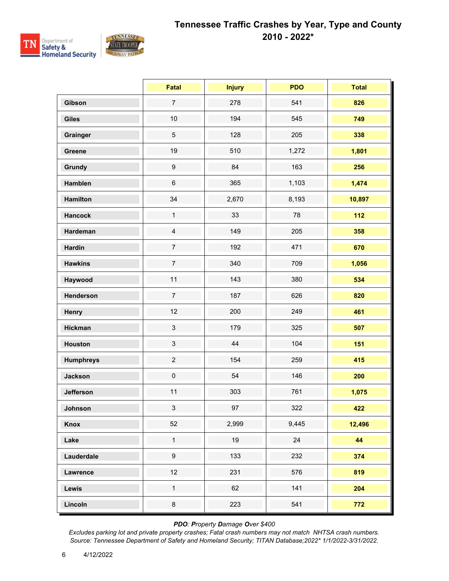

|                  | Fatal            | <b>Injury</b> | <b>PDO</b> | <b>Total</b> |
|------------------|------------------|---------------|------------|--------------|
| Gibson           | $\overline{7}$   | 278           | 541        | 826          |
| <b>Giles</b>     | 10               | 194           | 545        | 749          |
| Grainger         | $\sqrt{5}$       | 128           | 205        | 338          |
| Greene           | 19               | 510           | 1,272      | 1,801        |
| <b>Grundy</b>    | $\boldsymbol{9}$ | 84            | 163        | 256          |
| Hamblen          | $\,6\,$          | 365           | 1,103      | 1,474        |
| <b>Hamilton</b>  | 34               | 2,670         | 8,193      | 10,897       |
| <b>Hancock</b>   | $\mathbf{1}$     | 33            | 78         | $112$        |
| Hardeman         | $\overline{4}$   | 149           | 205        | 358          |
| <b>Hardin</b>    | $\overline{7}$   | 192           | 471        | 670          |
| <b>Hawkins</b>   | $\overline{7}$   | 340           | 709        | 1,056        |
| Haywood          | 11               | 143           | 380        | 534          |
| Henderson        | $\overline{7}$   | 187           | 626        | 820          |
| Henry            | 12               | 200           | 249        | 461          |
| <b>Hickman</b>   | $\sqrt{3}$       | 179           | 325        | 507          |
| <b>Houston</b>   | $\sqrt{3}$       | 44            | 104        | 151          |
| <b>Humphreys</b> | $\overline{c}$   | 154           | 259        | 415          |
| <b>Jackson</b>   | $\pmb{0}$        | 54            | 146        | 200          |
| <b>Jefferson</b> | 11               | 303           | 761        | 1,075        |
| Johnson          | 3 <sup>1</sup>   | 97            | 322        | 422          |
| Knox             | 52               | 2,999         | 9,445      | 12,496       |
| Lake             | $\mathbf 1$      | 19            | 24         | 44           |
| Lauderdale       | $\boldsymbol{9}$ | 133           | 232        | 374          |
| Lawrence         | 12               | 231           | 576        | 819          |
| Lewis            | $\mathbf{1}$     | 62            | 141        | 204          |
| Lincoln          | $\bf 8$          | 223           | 541        | 772          |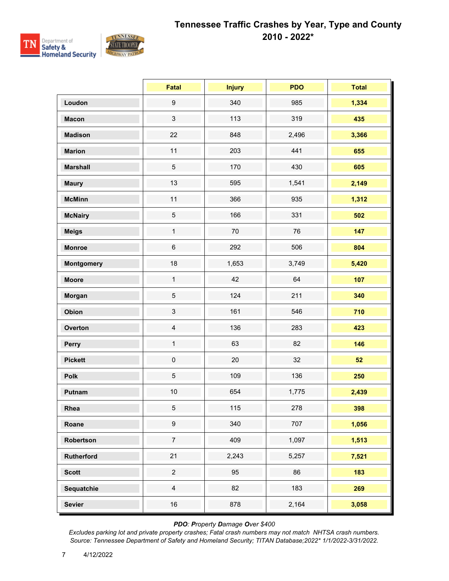

|                   | <b>Fatal</b>        | <b>Injury</b> | <b>PDO</b> | <b>Total</b> |
|-------------------|---------------------|---------------|------------|--------------|
| Loudon            | $\boldsymbol{9}$    | 340           | 985        | 1,334        |
| <b>Macon</b>      | $\sqrt{3}$          | 113           | 319        | 435          |
| <b>Madison</b>    | 22                  | 848           | 2,496      | 3,366        |
| <b>Marion</b>     | 11                  | 203           | 441        | 655          |
| <b>Marshall</b>   | $\sqrt{5}$          | 170           | 430        | 605          |
| <b>Maury</b>      | 13                  | 595           | 1,541      | 2,149        |
| <b>McMinn</b>     | 11                  | 366           | 935        | 1,312        |
| <b>McNairy</b>    | $\sqrt{5}$          | 166           | 331        | 502          |
| <b>Meigs</b>      | $\mathbf{1}$        | $70\,$        | 76         | 147          |
| <b>Monroe</b>     | $\,6\,$             | 292           | 506        | 804          |
| <b>Montgomery</b> | 18                  | 1,653         | 3,749      | 5,420        |
| <b>Moore</b>      | $\mathbf{1}$        | 42            | 64         | 107          |
| Morgan            | $\sqrt{5}$          | 124           | 211        | 340          |
| Obion             | $\sqrt{3}$          | 161           | 546        | 710          |
| Overton           | $\overline{4}$      | 136           | 283        | 423          |
| Perry             | $\mathbf{1}$        | 63            | 82         | 146          |
| <b>Pickett</b>    | $\mathsf{O}\xspace$ | 20            | 32         | 52           |
| Polk              | $\sqrt{5}$          | 109           | 136        | 250          |
| Putnam            | $10$                | 654           | 1,775      | 2,439        |
| Rhea              | $\sqrt{5}$          | 115           | 278        | 398          |
| Roane             | $\boldsymbol{9}$    | 340           | 707        | 1,056        |
| Robertson         | $\boldsymbol{7}$    | 409           | 1,097      | 1,513        |
| <b>Rutherford</b> | 21                  | 2,243         | 5,257      | 7,521        |
| <b>Scott</b>      | $\overline{2}$      | 95            | 86         | 183          |
| Sequatchie        | $\overline{4}$      | 82            | 183        | 269          |
| <b>Sevier</b>     | $16\,$              | 878           | 2,164      | 3,058        |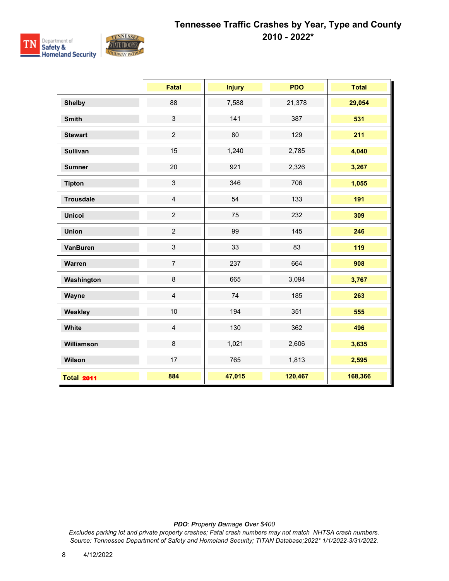

|                   | <b>Fatal</b>   | <b>Injury</b> | <b>PDO</b> | <b>Total</b> |
|-------------------|----------------|---------------|------------|--------------|
| <b>Shelby</b>     | 88             | 7,588         | 21,378     | 29,054       |
| <b>Smith</b>      | $\mathfrak{S}$ | 141           | 387        | 531          |
| <b>Stewart</b>    | $\overline{2}$ | 80            | 129        | 211          |
| <b>Sullivan</b>   | 15             | 1,240         | 2,785      | 4,040        |
| <b>Sumner</b>     | 20             | 921           | 2,326      | 3,267        |
| <b>Tipton</b>     | $\mathbf{3}$   | 346           | 706        | 1,055        |
| <b>Trousdale</b>  | $\overline{4}$ | 54            | 133        | 191          |
| <b>Unicoi</b>     | $\overline{2}$ | 75            | 232        | 309          |
| <b>Union</b>      | $\overline{2}$ | 99            | 145        | 246          |
| <b>VanBuren</b>   | $\mathbf{3}$   | 33            | 83         | 119          |
| Warren            | $\overline{7}$ | 237           | 664        | 908          |
| Washington        | $\bf 8$        | 665           | 3,094      | 3,767        |
| Wayne             | $\overline{4}$ | 74            | 185        | 263          |
| Weakley           | 10             | 194           | 351        | 555          |
| White             | $\overline{4}$ | 130           | 362        | 496          |
| Williamson        | 8              | 1,021         | 2,606      | 3,635        |
| Wilson            | 17             | 765           | 1,813      | 2,595        |
| <b>Total 2011</b> | 884            | 47,015        | 120,467    | 168,366      |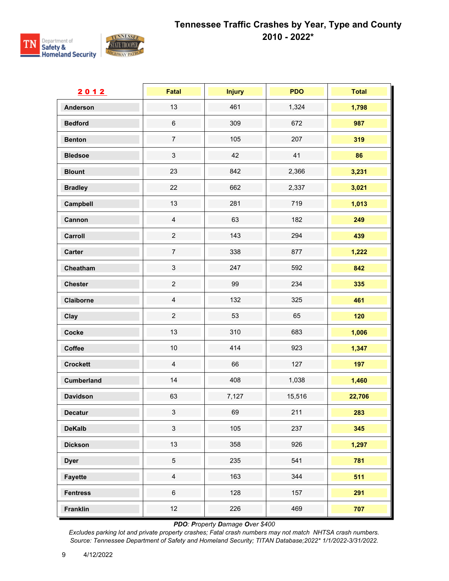

| 2012              | <b>Fatal</b>              | <b>Injury</b> | <b>PDO</b> | <b>Total</b> |
|-------------------|---------------------------|---------------|------------|--------------|
| <b>Anderson</b>   | 13                        | 461           | 1,324      | 1,798        |
| <b>Bedford</b>    | $\,6\,$                   | 309           | 672        | 987          |
| <b>Benton</b>     | $\boldsymbol{7}$          | 105           | 207        | 319          |
| <b>Bledsoe</b>    | $\ensuremath{\mathsf{3}}$ | 42            | 41         | 86           |
| <b>Blount</b>     | 23                        | 842           | 2,366      | 3,231        |
| <b>Bradley</b>    | 22                        | 662           | 2,337      | 3,021        |
| Campbell          | 13                        | 281           | 719        | 1,013        |
| Cannon            | $\overline{4}$            | 63            | 182        | 249          |
| Carroll           | $\overline{c}$            | 143           | 294        | 439          |
| <b>Carter</b>     | $\boldsymbol{7}$          | 338           | 877        | 1,222        |
| Cheatham          | $\ensuremath{\mathsf{3}}$ | 247           | 592        | 842          |
| <b>Chester</b>    | $\overline{c}$            | 99            | 234        | 335          |
| Claiborne         | $\overline{4}$            | 132           | 325        | 461          |
| Clay              | $\overline{2}$            | 53            | 65         | 120          |
| Cocke             | 13                        | 310           | 683        | 1,006        |
| Coffee            | $10$                      | 414           | 923        | 1,347        |
| <b>Crockett</b>   | $\overline{4}$            | 66            | 127        | 197          |
| <b>Cumberland</b> | $14$                      | 408           | 1,038      | 1,460        |
| <b>Davidson</b>   | 63                        | 7,127         | 15,516     | 22,706       |
| <b>Decatur</b>    | $\mathfrak{S}$            | 69            | 211        | 283          |
| <b>DeKalb</b>     | $\mathbf{3}$              | 105           | 237        | 345          |
| <b>Dickson</b>    | 13                        | 358           | 926        | 1,297        |
| <b>Dyer</b>       | $\sqrt{5}$                | 235           | 541        | 781          |
| <b>Fayette</b>    | $\overline{4}$            | 163           | 344        | 511          |
| <b>Fentress</b>   | $\,6\,$                   | 128           | 157        | 291          |
| <b>Franklin</b>   | 12                        | 226           | 469        | 707          |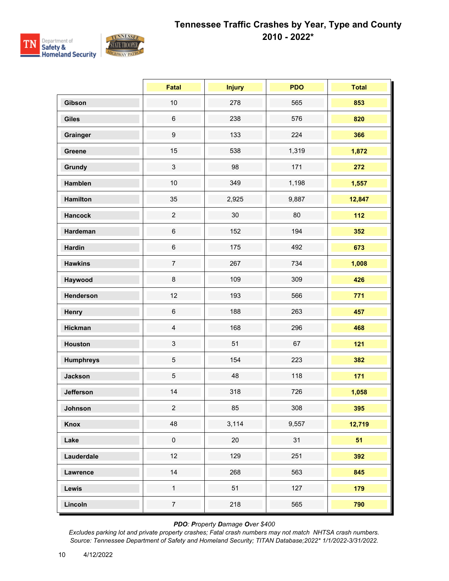

|                  | <b>Fatal</b>            | <b>Injury</b> | <b>PDO</b> | <b>Total</b> |
|------------------|-------------------------|---------------|------------|--------------|
| Gibson           | 10                      | 278           | 565        | 853          |
| <b>Giles</b>     | $\,6\,$                 | 238           | 576        | 820          |
| Grainger         | $\boldsymbol{9}$        | 133           | 224        | 366          |
| Greene           | 15                      | 538           | 1,319      | 1,872        |
| Grundy           | 3                       | 98            | 171        | 272          |
| Hamblen          | 10                      | 349           | 1,198      | 1,557        |
| <b>Hamilton</b>  | 35                      | 2,925         | 9,887      | 12,847       |
| <b>Hancock</b>   | $\overline{c}$          | 30            | 80         | $112$        |
| Hardeman         | $\,6\,$                 | 152           | 194        | 352          |
| <b>Hardin</b>    | $\,6$                   | 175           | 492        | 673          |
| <b>Hawkins</b>   | $\overline{7}$          | 267           | 734        | 1,008        |
| Haywood          | 8                       | 109           | 309        | 426          |
| Henderson        | 12                      | 193           | 566        | 771          |
| Henry            | $\,6\,$                 | 188           | 263        | 457          |
| <b>Hickman</b>   | $\overline{\mathbf{4}}$ | 168           | 296        | 468          |
| <b>Houston</b>   | 3                       | 51            | 67         | $121$        |
| <b>Humphreys</b> | 5                       | 154           | 223        | 382          |
| <b>Jackson</b>   | 5                       | 48            | 118        | 171          |
| <b>Jefferson</b> | 14                      | 318           | 726        | 1,058        |
| Johnson          | $\overline{a}$          | 85            | 308        | 395          |
| Knox             | 48                      | 3,114         | 9,557      | 12,719       |
| Lake             | $\pmb{0}$               | 20            | 31         | 51           |
| Lauderdale       | 12                      | 129           | 251        | 392          |
| Lawrence         | 14                      | 268           | 563        | 845          |
| Lewis            | $\mathbf{1}$            | 51            | 127        | 179          |
| Lincoln          | $\overline{7}$          | 218           | 565        | 790          |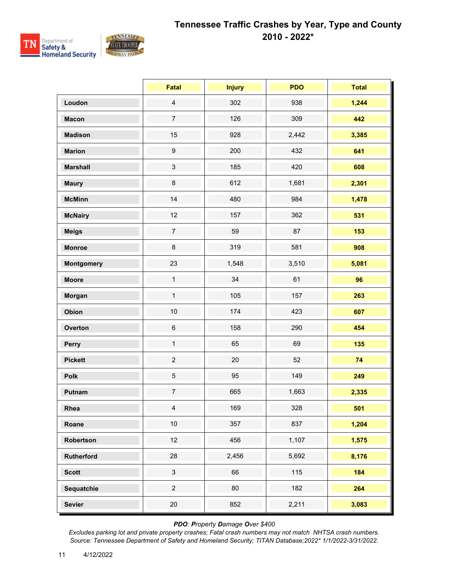

|                   | <b>Fatal</b>     | <b>Injury</b> | <b>PDO</b> | <b>Total</b> |
|-------------------|------------------|---------------|------------|--------------|
| Loudon            | $\overline{4}$   | 302           | 938        | 1,244        |
| <b>Macon</b>      | $\overline{7}$   | 126           | 309        | 442          |
| <b>Madison</b>    | 15               | 928           | 2,442      | 3,385        |
| <b>Marion</b>     | $\boldsymbol{9}$ | 200           | 432        | 641          |
| <b>Marshall</b>   | $\mathfrak{S}$   | 185           | 420        | 608          |
| <b>Maury</b>      | $\bf 8$          | 612           | 1,681      | 2,301        |
| <b>McMinn</b>     | 14               | 480           | 984        | 1,478        |
| <b>McNairy</b>    | 12               | 157           | 362        | 531          |
| <b>Meigs</b>      | $\overline{7}$   | 59            | 87         | 153          |
| <b>Monroe</b>     | $\bf 8$          | 319           | 581        | 908          |
| <b>Montgomery</b> | 23               | 1,548         | 3,510      | 5,081        |
| <b>Moore</b>      | $\mathbf{1}$     | 34            | 61         | 96           |
| Morgan            | $\mathbf{1}$     | 105           | 157        | 263          |
| Obion             | $10$             | 174           | 423        | 607          |
| Overton           | $\,6\,$          | 158           | 290        | 454          |
| Perry             | $\mathbf{1}$     | 65            | 69         | 135          |
| <b>Pickett</b>    | $\overline{c}$   | 20            | 52         | 74           |
| Polk              | $\,$ 5 $\,$      | 95            | 149        | 249          |
| Putnam            | $\overline{7}$   | 665           | 1,663      | 2,335        |
| Rhea              | $\overline{4}$   | 169           | 328        | 501          |
| Roane             | $10\,$           | 357           | 837        | 1,204        |
| Robertson         | 12               | 456           | 1,107      | 1,575        |
| Rutherford        | 28               | 2,456         | 5,692      | 8,176        |
| <b>Scott</b>      | $\mathfrak{S}$   | 66            | 115        | 184          |
| Sequatchie        | $\overline{a}$   | 80            | 182        | 264          |
| <b>Sevier</b>     | $20\,$           | 852           | 2,211      | 3,083        |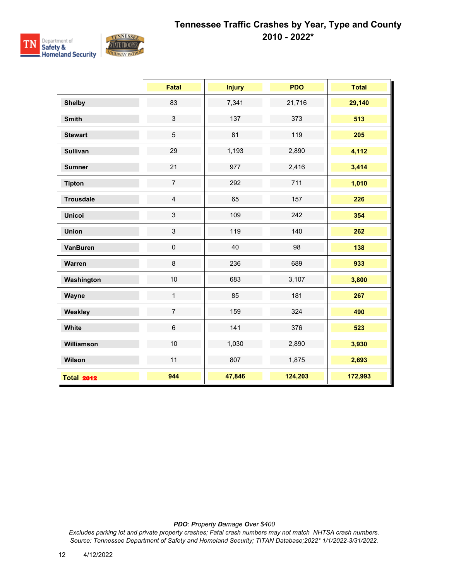

|                   | <b>Fatal</b>   | <b>Injury</b> | <b>PDO</b> | <b>Total</b> |
|-------------------|----------------|---------------|------------|--------------|
| <b>Shelby</b>     | 83             | 7,341         | 21,716     | 29,140       |
| <b>Smith</b>      | $\mathfrak{S}$ | 137           | 373        | 513          |
| <b>Stewart</b>    | 5              | 81            | 119        | 205          |
| <b>Sullivan</b>   | 29             | 1,193         | 2,890      | 4,112        |
| <b>Sumner</b>     | 21             | 977           | 2,416      | 3,414        |
| <b>Tipton</b>     | $\overline{7}$ | 292           | 711        | 1,010        |
| <b>Trousdale</b>  | $\overline{4}$ | 65            | 157        | 226          |
| <b>Unicoi</b>     | $\mathbf{3}$   | 109           | 242        | 354          |
| <b>Union</b>      | $\mathbf{3}$   | 119           | 140        | 262          |
| <b>VanBuren</b>   | $\pmb{0}$      | 40            | 98         | 138          |
| Warren            | 8              | 236           | 689        | 933          |
| Washington        | 10             | 683           | 3,107      | 3,800        |
| Wayne             | $\mathbf{1}$   | 85            | 181        | 267          |
| Weakley           | $\overline{7}$ | 159           | 324        | 490          |
| White             | $6\phantom{1}$ | 141           | 376        | 523          |
| Williamson        | 10             | 1,030         | 2,890      | 3,930        |
| Wilson            | 11             | 807           | 1,875      | 2,693        |
| <b>Total 2012</b> | 944            | 47,846        | 124,203    | 172,993      |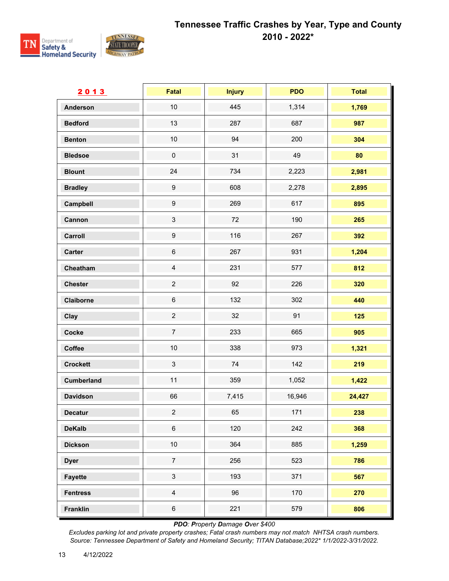

| 2013              | Fatal            | <b>Injury</b> | <b>PDO</b> | <b>Total</b> |
|-------------------|------------------|---------------|------------|--------------|
| <b>Anderson</b>   | $10$             | 445           | 1,314      | 1,769        |
| <b>Bedford</b>    | 13               | 287           | 687        | 987          |
| <b>Benton</b>     | $10$             | 94            | 200        | 304          |
| <b>Bledsoe</b>    | $\pmb{0}$        | 31            | 49         | 80           |
| <b>Blount</b>     | 24               | 734           | 2,223      | 2,981        |
| <b>Bradley</b>    | $\boldsymbol{9}$ | 608           | 2,278      | 2,895        |
| Campbell          | $\boldsymbol{9}$ | 269           | 617        | 895          |
| Cannon            | $\sqrt{3}$       | 72            | 190        | 265          |
| Carroll           | $\boldsymbol{9}$ | 116           | 267        | 392          |
| <b>Carter</b>     | $\,6$            | 267           | 931        | 1,204        |
| Cheatham          | $\overline{4}$   | 231           | 577        | 812          |
| <b>Chester</b>    | $\overline{c}$   | 92            | 226        | 320          |
| Claiborne         | $\,6\,$          | 132           | 302        | 440          |
| Clay              | $\overline{c}$   | 32            | 91         | 125          |
| Cocke             | $\overline{7}$   | 233           | 665        | 905          |
| Coffee            | 10               | 338           | 973        | 1,321        |
| <b>Crockett</b>   | $\mathfrak{S}$   | 74            | 142        | 219          |
| <b>Cumberland</b> | 11               | 359           | 1,052      | 1,422        |
| <b>Davidson</b>   | 66               | 7,415         | 16,946     | 24,427       |
| <b>Decatur</b>    | $\overline{c}$   | 65            | 171        | 238          |
| <b>DeKalb</b>     | $\,6$            | 120           | 242        | 368          |
| <b>Dickson</b>    | $10$             | 364           | 885        | 1,259        |
| <b>Dyer</b>       | $\overline{7}$   | 256           | 523        | 786          |
| <b>Fayette</b>    | $\mathfrak{S}$   | 193           | 371        | 567          |
| <b>Fentress</b>   | $\overline{4}$   | 96            | 170        | 270          |
| <b>Franklin</b>   | $\,6\,$          | 221           | 579        | 806          |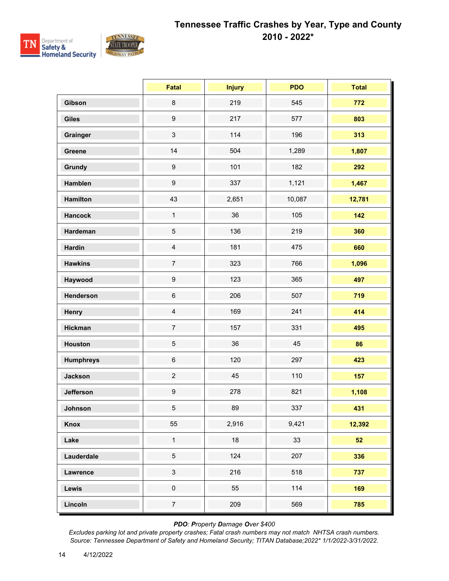

|                  | Fatal                     | <b>Injury</b> | <b>PDO</b> | <b>Total</b> |
|------------------|---------------------------|---------------|------------|--------------|
| Gibson           | $\bf 8$                   | 219           | 545        | 772          |
| <b>Giles</b>     | $\boldsymbol{9}$          | 217           | 577        | 803          |
| Grainger         | $\ensuremath{\mathsf{3}}$ | 114           | 196        | 313          |
| Greene           | 14                        | 504           | 1,289      | 1,807        |
| <b>Grundy</b>    | $\boldsymbol{9}$          | 101           | 182        | 292          |
| Hamblen          | $\boldsymbol{9}$          | 337           | 1,121      | 1,467        |
| <b>Hamilton</b>  | 43                        | 2,651         | 10,087     | 12,781       |
| <b>Hancock</b>   | $\mathbf{1}$              | 36            | 105        | 142          |
| Hardeman         | $\sqrt{5}$                | 136           | 219        | 360          |
| <b>Hardin</b>    | $\overline{4}$            | 181           | 475        | 660          |
| <b>Hawkins</b>   | $\overline{7}$            | 323           | 766        | 1,096        |
| Haywood          | $\boldsymbol{9}$          | 123           | 365        | 497          |
| Henderson        | $\,6\,$                   | 206           | 507        | 719          |
| Henry            | $\overline{4}$            | 169           | 241        | 414          |
| <b>Hickman</b>   | $\boldsymbol{7}$          | 157           | 331        | 495          |
| <b>Houston</b>   | $\sqrt{5}$                | 36            | 45         | 86           |
| <b>Humphreys</b> | $\,6$                     | 120           | 297        | 423          |
| <b>Jackson</b>   | $\overline{c}$            | 45            | 110        | 157          |
| <b>Jefferson</b> | $\boldsymbol{9}$          | 278           | 821        | 1,108        |
| Johnson          | 5 <sup>5</sup>            | 89            | 337        | 431          |
| <b>Knox</b>      | 55                        | 2,916         | 9,421      | 12,392       |
| Lake             | $\mathbf 1$               | 18            | 33         | 52           |
| Lauderdale       | $\overline{5}$            | 124           | 207        | 336          |
| <b>Lawrence</b>  | $\mathfrak{S}$            | 216           | 518        | 737          |
| Lewis            | $\pmb{0}$                 | 55            | 114        | 169          |
| Lincoln          | $\overline{7}$            | 209           | 569        | 785          |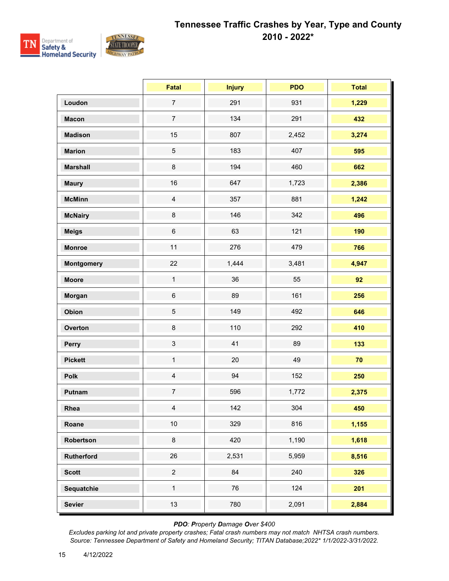

|                   | <b>Fatal</b>   | <b>Injury</b> | <b>PDO</b> | <b>Total</b> |
|-------------------|----------------|---------------|------------|--------------|
| Loudon            | $\overline{7}$ | 291           | 931        | 1,229        |
| <b>Macon</b>      | $\overline{7}$ | 134           | 291        | 432          |
| <b>Madison</b>    | 15             | 807           | 2,452      | 3,274        |
| <b>Marion</b>     | $\sqrt{5}$     | 183           | 407        | 595          |
| <b>Marshall</b>   | $\bf 8$        | 194           | 460        | 662          |
| <b>Maury</b>      | 16             | 647           | 1,723      | 2,386        |
| <b>McMinn</b>     | $\overline{4}$ | 357           | 881        | 1,242        |
| <b>McNairy</b>    | $\bf 8$        | 146           | 342        | 496          |
| <b>Meigs</b>      | $\,6\,$        | 63            | 121        | 190          |
| <b>Monroe</b>     | 11             | 276           | 479        | 766          |
| <b>Montgomery</b> | 22             | 1,444         | 3,481      | 4,947        |
| <b>Moore</b>      | $\mathbf{1}$   | 36            | 55         | 92           |
| Morgan            | $\,6\,$        | 89            | 161        | 256          |
| Obion             | $\sqrt{5}$     | 149           | 492        | 646          |
| Overton           | $\bf 8$        | 110           | 292        | 410          |
| Perry             | $\mathfrak{S}$ | 41            | 89         | 133          |
| <b>Pickett</b>    | $\mathbf{1}$   | 20            | 49         | 70           |
| Polk              | $\overline{4}$ | 94            | 152        | 250          |
| Putnam            | $\overline{7}$ | 596           | 1,772      | 2,375        |
| Rhea              | $\overline{4}$ | 142           | 304        | 450          |
| Roane             | $10\,$         | 329           | 816        | 1,155        |
| Robertson         | $\bf 8$        | 420           | 1,190      | 1,618        |
| Rutherford        | $26\,$         | 2,531         | 5,959      | 8,516        |
| <b>Scott</b>      | $\overline{c}$ | 84            | 240        | 326          |
| Sequatchie        | $\mathbf{1}$   | 76            | 124        | 201          |
| <b>Sevier</b>     | 13             | 780           | 2,091      | 2,884        |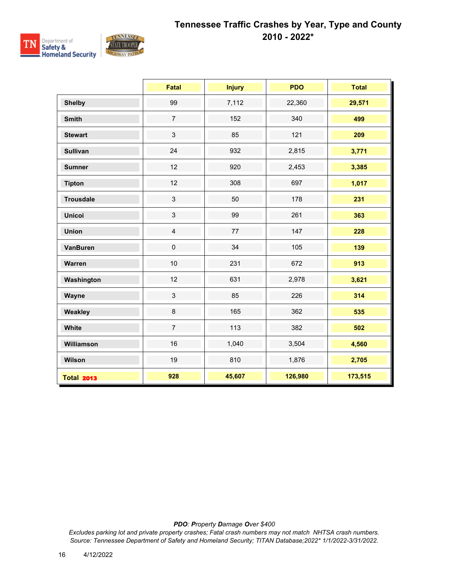

|                   | <b>Fatal</b>   | <b>Injury</b> | <b>PDO</b> | <b>Total</b> |
|-------------------|----------------|---------------|------------|--------------|
| <b>Shelby</b>     | 99             | 7,112         | 22,360     | 29,571       |
| <b>Smith</b>      | $\overline{7}$ | 152           | 340        | 499          |
| <b>Stewart</b>    | $\mathbf{3}$   | 85            | 121        | 209          |
| <b>Sullivan</b>   | 24             | 932           | 2,815      | 3,771        |
| <b>Sumner</b>     | 12             | 920           | 2,453      | 3,385        |
| <b>Tipton</b>     | 12             | 308           | 697        | 1,017        |
| <b>Trousdale</b>  | $\mathbf{3}$   | 50            | 178        | 231          |
| <b>Unicoi</b>     | $\mathbf{3}$   | 99            | 261        | 363          |
| <b>Union</b>      | $\overline{4}$ | 77            | 147        | 228          |
| <b>VanBuren</b>   | $\pmb{0}$      | 34            | 105        | 139          |
| Warren            | 10             | 231           | 672        | 913          |
| Washington        | 12             | 631           | 2,978      | 3,621        |
| Wayne             | $\mathfrak{Z}$ | 85            | 226        | 314          |
| Weakley           | $\bf 8$        | 165           | 362        | 535          |
| White             | $\overline{7}$ | 113           | 382        | 502          |
| Williamson        | 16             | 1,040         | 3,504      | 4,560        |
| Wilson            | 19             | 810           | 1,876      | 2,705        |
| <b>Total 2013</b> | 928            | 45,607        | 126,980    | 173,515      |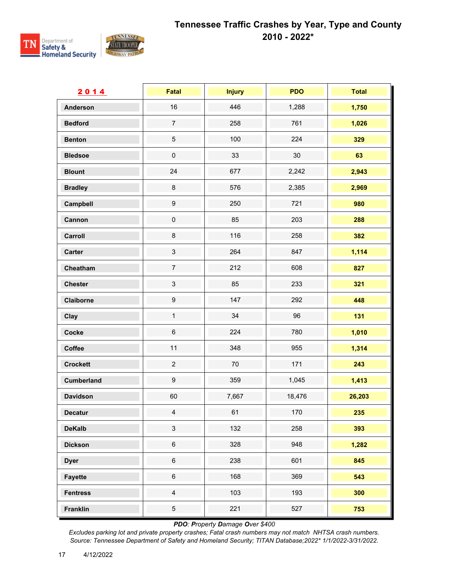

| 2014              | Fatal                     | <b>Injury</b> | <b>PDO</b> | <b>Total</b> |
|-------------------|---------------------------|---------------|------------|--------------|
| <b>Anderson</b>   | 16                        | 446           | 1,288      | 1,750        |
| <b>Bedford</b>    | $\overline{7}$            | 258           | 761        | 1,026        |
| <b>Benton</b>     | $\,$ 5 $\,$               | 100           | 224        | 329          |
| <b>Bledsoe</b>    | $\pmb{0}$                 | 33            | 30         | 63           |
| <b>Blount</b>     | 24                        | 677           | 2,242      | 2,943        |
| <b>Bradley</b>    | $\bf 8$                   | 576           | 2,385      | 2,969        |
| Campbell          | $\boldsymbol{9}$          | 250           | 721        | 980          |
| Cannon            | $\pmb{0}$                 | 85            | 203        | 288          |
| Carroll           | $\bf 8$                   | 116           | 258        | 382          |
| <b>Carter</b>     | $\ensuremath{\mathsf{3}}$ | 264           | 847        | 1,114        |
| Cheatham          | $\overline{7}$            | 212           | 608        | 827          |
| <b>Chester</b>    | $\sqrt{3}$                | 85            | 233        | 321          |
| Claiborne         | 9                         | 147           | 292        | 448          |
| Clay              | $\mathbf{1}$              | 34            | 96         | 131          |
| Cocke             | $\,6$                     | 224           | 780        | 1,010        |
| Coffee            | 11                        | 348           | 955        | 1,314        |
| <b>Crockett</b>   | $\overline{c}$            | 70            | 171        | 243          |
| <b>Cumberland</b> | $\boldsymbol{9}$          | 359           | 1,045      | 1,413        |
| <b>Davidson</b>   | 60                        | 7,667         | 18,476     | 26,203       |
| Decatur           | $\overline{4}$            | 61            | 170        | 235          |
| <b>DeKalb</b>     | $\sqrt{3}$                | 132           | 258        | 393          |
| <b>Dickson</b>    | $\,6$                     | 328           | 948        | 1,282        |
| <b>Dyer</b>       | $\,6\,$                   | 238           | 601        | 845          |
| <b>Fayette</b>    | $\,6\,$                   | 168           | 369        | 543          |
| <b>Fentress</b>   | $\overline{4}$            | 103           | 193        | 300          |
| <b>Franklin</b>   | $\sqrt{5}$                | 221           | 527        | 753          |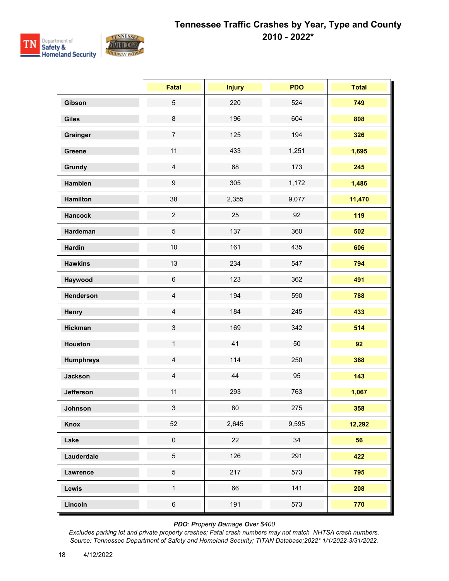

|                  | <b>Fatal</b>     | <b>Injury</b> | <b>PDO</b> | <b>Total</b> |
|------------------|------------------|---------------|------------|--------------|
| Gibson           | $\sqrt{5}$       | 220           | 524        | 749          |
| <b>Giles</b>     | $\bf 8$          | 196           | 604        | 808          |
| Grainger         | $\overline{7}$   | 125           | 194        | 326          |
| <b>Greene</b>    | 11               | 433           | 1,251      | 1,695        |
| Grundy           | $\overline{4}$   | 68            | 173        | 245          |
| Hamblen          | $\boldsymbol{9}$ | 305           | 1,172      | 1,486        |
| <b>Hamilton</b>  | 38               | 2,355         | 9,077      | 11,470       |
| <b>Hancock</b>   | $\overline{2}$   | 25            | 92         | 119          |
| Hardeman         | $\mathbf 5$      | 137           | 360        | 502          |
| <b>Hardin</b>    | 10               | 161           | 435        | 606          |
| <b>Hawkins</b>   | 13               | 234           | 547        | 794          |
| Haywood          | $\,6\,$          | 123           | 362        | 491          |
| Henderson        | $\overline{4}$   | 194           | 590        | 788          |
| Henry            | $\overline{4}$   | 184           | 245        | 433          |
| <b>Hickman</b>   | $\sqrt{3}$       | 169           | 342        | 514          |
| <b>Houston</b>   | $\mathbf{1}$     | 41            | 50         | 92           |
| <b>Humphreys</b> | $\overline{4}$   | 114           | 250        | 368          |
| <b>Jackson</b>   | $\overline{4}$   | 44            | 95         | 143          |
| <b>Jefferson</b> | 11               | 293           | 763        | 1,067        |
| Johnson          | 3 <sup>1</sup>   | 80            | 275        | 358          |
| Knox             | 52               | 2,645         | 9,595      | 12,292       |
| Lake             | $\pmb{0}$        | 22            | 34         | 56           |
| Lauderdale       | $\,$ 5 $\,$      | 126           | 291        | 422          |
| Lawrence         | $\,$ 5 $\,$      | 217           | 573        | 795          |
| Lewis            | $\mathbf{1}$     | 66            | 141        | 208          |
| Lincoln          | $\,6\,$          | 191           | 573        | 770          |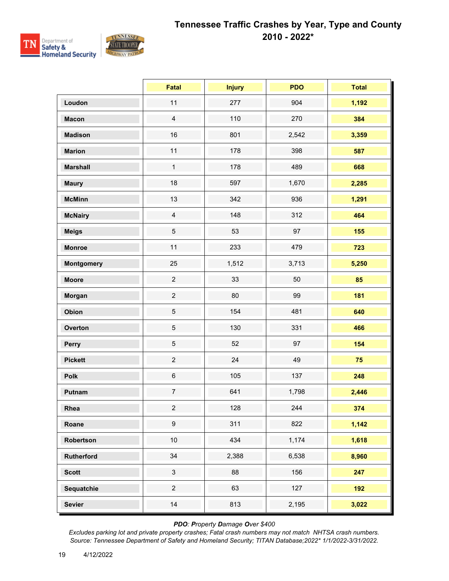

|                   | <b>Fatal</b>     | <b>Injury</b> | <b>PDO</b> | <b>Total</b> |
|-------------------|------------------|---------------|------------|--------------|
| Loudon            | 11               | 277           | 904        | 1,192        |
| <b>Macon</b>      | $\overline{4}$   | 110           | 270        | 384          |
| <b>Madison</b>    | 16               | 801           | 2,542      | 3,359        |
| <b>Marion</b>     | 11               | 178           | 398        | 587          |
| <b>Marshall</b>   | $\mathbf{1}$     | 178           | 489        | 668          |
| <b>Maury</b>      | 18               | 597           | 1,670      | 2,285        |
| <b>McMinn</b>     | 13               | 342           | 936        | 1,291        |
| <b>McNairy</b>    | $\overline{4}$   | 148           | 312        | 464          |
| <b>Meigs</b>      | 5                | 53            | 97         | 155          |
| <b>Monroe</b>     | 11               | 233           | 479        | 723          |
| <b>Montgomery</b> | 25               | 1,512         | 3,713      | 5,250        |
| <b>Moore</b>      | $\overline{2}$   | 33            | 50         | 85           |
| Morgan            | $\overline{2}$   | 80            | 99         | 181          |
| Obion             | $\overline{5}$   | 154           | 481        | 640          |
| Overton           | $\,$ 5 $\,$      | 130           | 331        | 466          |
| Perry             | $\,$ 5 $\,$      | 52            | 97         | 154          |
| <b>Pickett</b>    | $\overline{2}$   | 24            | 49         | 75           |
| Polk              | $\,6\,$          | 105           | 137        | 248          |
| Putnam            | $\overline{7}$   | 641           | 1,798      | 2,446        |
| Rhea              | $\overline{a}$   | 128           | 244        | 374          |
| Roane             | $\boldsymbol{9}$ | 311           | 822        | 1,142        |
| Robertson         | $10$             | 434           | 1,174      | 1,618        |
| Rutherford        | 34               | 2,388         | 6,538      | 8,960        |
| <b>Scott</b>      | $\mathfrak{S}$   | 88            | 156        | 247          |
| Sequatchie        | $\overline{2}$   | 63            | 127        | 192          |
| <b>Sevier</b>     | 14               | 813           | 2,195      | 3,022        |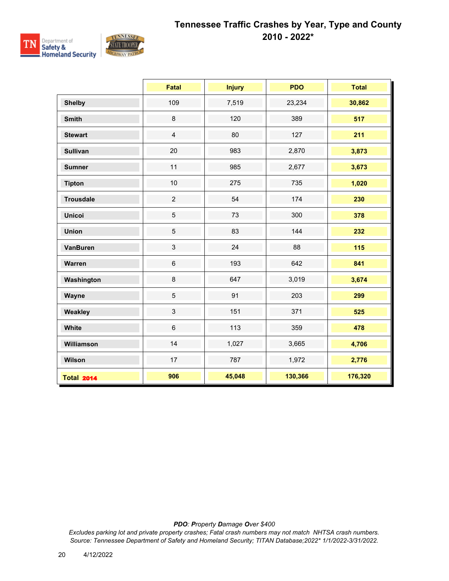

|                   | <b>Fatal</b>   | <b>Injury</b> | <b>PDO</b> | <b>Total</b> |
|-------------------|----------------|---------------|------------|--------------|
| <b>Shelby</b>     | 109            | 7,519         | 23,234     | 30,862       |
| <b>Smith</b>      | $\,8\,$        | 120           | 389        | 517          |
| <b>Stewart</b>    | $\overline{4}$ | 80            | 127        | 211          |
| <b>Sullivan</b>   | 20             | 983           | 2,870      | 3,873        |
| <b>Sumner</b>     | 11             | 985           | 2,677      | 3,673        |
| <b>Tipton</b>     | 10             | 275           | 735        | 1,020        |
| <b>Trousdale</b>  | $\overline{2}$ | 54            | 174        | 230          |
| <b>Unicoi</b>     | $\overline{5}$ | 73            | 300        | 378          |
| <b>Union</b>      | $\sqrt{5}$     | 83            | 144        | 232          |
| <b>VanBuren</b>   | $\mathbf{3}$   | 24            | 88         | 115          |
| Warren            | $\,6\,$        | 193           | 642        | 841          |
| Washington        | $\bf 8$        | 647           | 3,019      | 3,674        |
| Wayne             | $\overline{5}$ | 91            | 203        | 299          |
| Weakley           | $\mathfrak{S}$ | 151           | 371        | 525          |
| White             | $6\phantom{1}$ | 113           | 359        | 478          |
| Williamson        | 14             | 1,027         | 3,665      | 4,706        |
| Wilson            | 17             | 787           | 1,972      | 2,776        |
| <b>Total 2014</b> | 906            | 45,048        | 130,366    | 176,320      |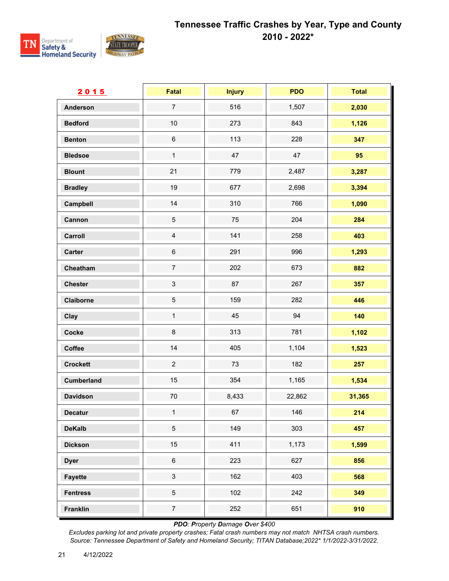

| 2015              | Fatal                     | <b>Injury</b> | <b>PDO</b> | <b>Total</b> |
|-------------------|---------------------------|---------------|------------|--------------|
| <b>Anderson</b>   | $\overline{7}$            | 516           | 1,507      | 2,030        |
| <b>Bedford</b>    | $10$                      | 273           | 843        | 1,126        |
| <b>Benton</b>     | $\,6\,$                   | 113           | 228        | 347          |
| <b>Bledsoe</b>    | $\mathbf{1}$              | 47            | 47         | 95           |
| <b>Blount</b>     | 21                        | 779           | 2,487      | 3,287        |
| <b>Bradley</b>    | 19                        | 677           | 2,698      | 3,394        |
| Campbell          | 14                        | 310           | 766        | 1,090        |
| Cannon            | $\mathbf 5$               | 75            | 204        | 284          |
| Carroll           | $\overline{4}$            | 141           | 258        | 403          |
| Carter            | $\,6$                     | 291           | 996        | 1,293        |
| Cheatham          | $\overline{7}$            | 202           | 673        | 882          |
| <b>Chester</b>    | $\mathfrak{S}$            | 87            | 267        | 357          |
| Claiborne         | $\,$ 5 $\,$               | 159           | 282        | 446          |
| Clay              | $\mathbf{1}$              | 45            | 94         | 140          |
| Cocke             | $\bf 8$                   | 313           | 781        | 1,102        |
| Coffee            | 14                        | 405           | 1,104      | 1,523        |
| <b>Crockett</b>   | $\overline{2}$            | 73            | 182        | 257          |
| <b>Cumberland</b> | 15                        | 354           | 1,165      | 1,534        |
| <b>Davidson</b>   | $70\,$                    | 8,433         | 22,862     | 31,365       |
| <b>Decatur</b>    | $\mathbf{1}$              | 67            | 146        | 214          |
| <b>DeKalb</b>     | 5                         | 149           | 303        | 457          |
| <b>Dickson</b>    | 15                        | 411           | 1,173      | 1,599        |
| <b>Dyer</b>       | $\,6\,$                   | 223           | 627        | 856          |
| <b>Fayette</b>    | $\ensuremath{\mathsf{3}}$ | 162           | 403        | 568          |
| <b>Fentress</b>   | $\mathbf 5$               | 102           | 242        | 349          |
| Franklin          | $\overline{7}$            | 252           | 651        | 910          |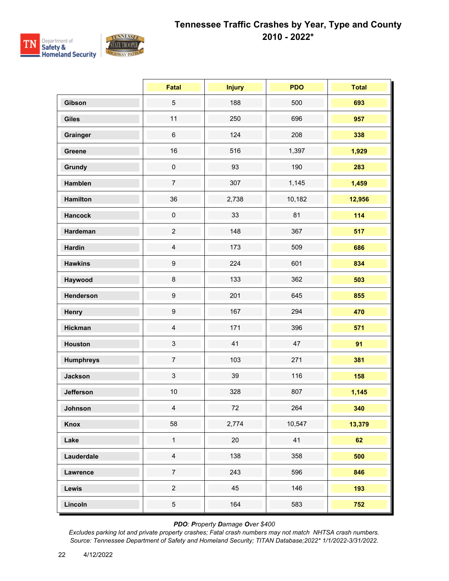

|                  | Fatal                     | <b>Injury</b> | <b>PDO</b> | <b>Total</b> |
|------------------|---------------------------|---------------|------------|--------------|
| Gibson           | $\sqrt{5}$                | 188           | 500        | 693          |
| <b>Giles</b>     | 11                        | 250           | 696        | 957          |
| Grainger         | $\,6\,$                   | 124           | 208        | 338          |
| <b>Greene</b>    | 16                        | 516           | 1,397      | 1,929        |
| Grundy           | $\pmb{0}$                 | 93            | 190        | 283          |
| Hamblen          | $\overline{7}$            | 307           | 1,145      | 1,459        |
| <b>Hamilton</b>  | 36                        | 2,738         | 10,182     | 12,956       |
| <b>Hancock</b>   | $\pmb{0}$                 | 33            | 81         | 114          |
| Hardeman         | $\overline{c}$            | 148           | 367        | 517          |
| <b>Hardin</b>    | $\overline{4}$            | 173           | 509        | 686          |
| <b>Hawkins</b>   | $\boldsymbol{9}$          | 224           | 601        | 834          |
| Haywood          | $\bf 8$                   | 133           | 362        | 503          |
| Henderson        | $\boldsymbol{9}$          | 201           | 645        | 855          |
| Henry            | $\boldsymbol{9}$          | 167           | 294        | 470          |
| <b>Hickman</b>   | $\overline{4}$            | 171           | 396        | 571          |
| <b>Houston</b>   | $\ensuremath{\mathsf{3}}$ | 41            | 47         | 91           |
| <b>Humphreys</b> | $\overline{7}$            | 103           | 271        | 381          |
| <b>Jackson</b>   | $\mathfrak{S}$            | 39            | 116        | 158          |
| <b>Jefferson</b> | 10                        | 328           | 807        | 1,145        |
| Johnson          | $\overline{4}$            | 72            | 264        | 340          |
| <b>Knox</b>      | 58                        | 2,774         | 10,547     | 13,379       |
| Lake             | $\mathbf 1$               | 20            | 41         | 62           |
| Lauderdale       | $\overline{4}$            | 138           | 358        | 500          |
| <b>Lawrence</b>  | $\overline{7}$            | 243           | 596        | 846          |
| Lewis            | $\overline{c}$            | 45            | 146        | 193          |
| Lincoln          | $\,$ 5 $\,$               | 164           | 583        | 752          |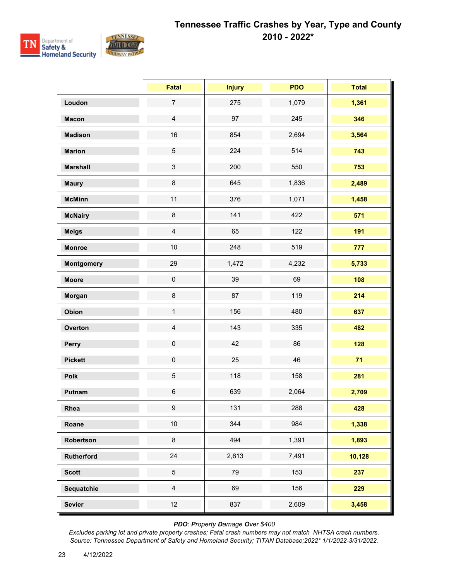

|                   | <b>Fatal</b>   | <b>Injury</b> | <b>PDO</b> | <b>Total</b> |
|-------------------|----------------|---------------|------------|--------------|
| Loudon            | $\overline{7}$ | 275           | 1,079      | 1,361        |
| <b>Macon</b>      | $\overline{4}$ | 97            | 245        | 346          |
| <b>Madison</b>    | 16             | 854           | 2,694      | 3,564        |
| <b>Marion</b>     | $\sqrt{5}$     | 224           | 514        | 743          |
| <b>Marshall</b>   | $\mathfrak{S}$ | 200           | 550        | 753          |
| <b>Maury</b>      | $\bf 8$        | 645           | 1,836      | 2,489        |
| <b>McMinn</b>     | 11             | 376           | 1,071      | 1,458        |
| <b>McNairy</b>    | $\bf 8$        | 141           | 422        | 571          |
| <b>Meigs</b>      | $\overline{4}$ | 65            | 122        | 191          |
| <b>Monroe</b>     | $10$           | 248           | 519        | 777          |
| <b>Montgomery</b> | 29             | 1,472         | 4,232      | 5,733        |
| <b>Moore</b>      | $\mathbf 0$    | 39            | 69         | 108          |
| Morgan            | $\bf 8$        | 87            | 119        | 214          |
| Obion             | $\mathbf{1}$   | 156           | 480        | 637          |
| Overton           | $\overline{4}$ | 143           | 335        | 482          |
| Perry             | $\pmb{0}$      | 42            | 86         | 128          |
| <b>Pickett</b>    | $\mathbf 0$    | 25            | 46         | 71           |
| Polk              | $\sqrt{5}$     | 118           | 158        | 281          |
| Putnam            | $\,6\,$        | 639           | 2,064      | 2,709        |
| Rhea              | 9              | 131           | 288        | 428          |
| Roane             | $10\,$         | 344           | 984        | 1,338        |
| Robertson         | $\bf 8$        | 494           | 1,391      | 1,893        |
| Rutherford        | 24             | 2,613         | 7,491      | 10,128       |
| <b>Scott</b>      | $\overline{5}$ | 79            | 153        | 237          |
| Sequatchie        | $\overline{4}$ | 69            | 156        | 229          |
| <b>Sevier</b>     | 12             | 837           | 2,609      | 3,458        |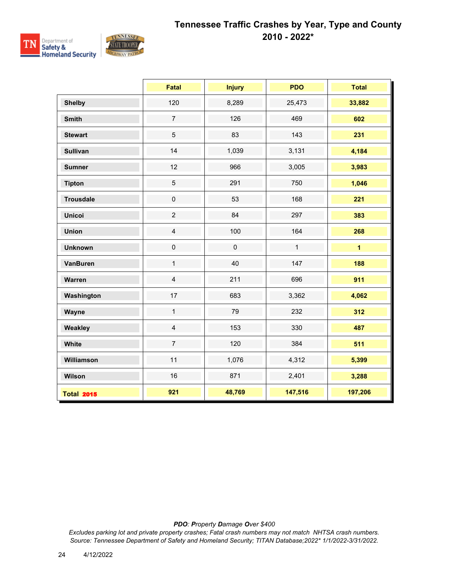

|                   | <b>Fatal</b>        | <b>Injury</b> | <b>PDO</b>   | <b>Total</b>   |
|-------------------|---------------------|---------------|--------------|----------------|
| <b>Shelby</b>     | 120                 | 8,289         | 25,473       | 33,882         |
| <b>Smith</b>      | $\overline{7}$      | 126           | 469          | 602            |
| <b>Stewart</b>    | $\sqrt{5}$          | 83            | 143          | 231            |
| <b>Sullivan</b>   | 14                  | 1,039         | 3,131        | 4,184          |
| <b>Sumner</b>     | 12                  | 966           | 3,005        | 3,983          |
| <b>Tipton</b>     | $\overline{5}$      | 291           | 750          | 1,046          |
| <b>Trousdale</b>  | $\pmb{0}$           | 53            | 168          | 221            |
| <b>Unicoi</b>     | $\overline{c}$      | 84            | 297          | 383            |
| <b>Union</b>      | $\overline{4}$      | 100           | 164          | 268            |
| <b>Unknown</b>    | $\mathsf{O}\xspace$ | $\pmb{0}$     | $\mathbf{1}$ | $\overline{1}$ |
| <b>VanBuren</b>   | $\mathbf{1}$        | 40            | 147          | 188            |
| Warren            | $\overline{4}$      | 211           | 696          | 911            |
| Washington        | 17                  | 683           | 3,362        | 4,062          |
| Wayne             | $\mathbf{1}$        | 79            | 232          | 312            |
| Weakley           | $\overline{4}$      | 153           | 330          | 487            |
| White             | $\overline{7}$      | 120           | 384          | 511            |
| Williamson        | 11                  | 1,076         | 4,312        | 5,399          |
| Wilson            | 16                  | 871           | 2,401        | 3,288          |
| <b>Total 2015</b> | 921                 | 48,769        | 147,516      | 197,206        |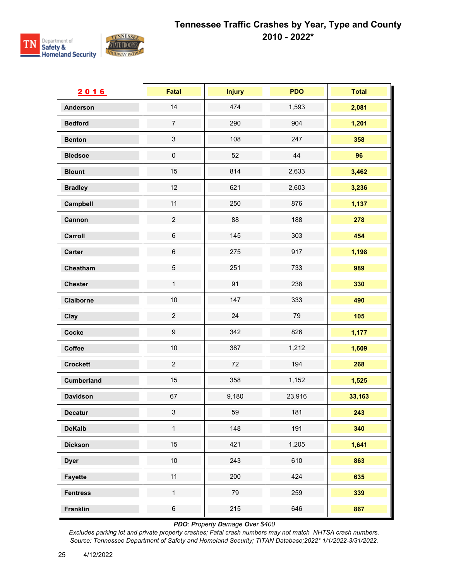

| 2016              | Fatal                     | <b>Injury</b> | <b>PDO</b> | <b>Total</b> |
|-------------------|---------------------------|---------------|------------|--------------|
| <b>Anderson</b>   | 14                        | 474           | 1,593      | 2,081        |
| <b>Bedford</b>    | $\overline{7}$            | 290           | 904        | 1,201        |
| <b>Benton</b>     | $\ensuremath{\mathsf{3}}$ | 108           | 247        | 358          |
| <b>Bledsoe</b>    | $\pmb{0}$                 | 52            | 44         | 96           |
| <b>Blount</b>     | 15                        | 814           | 2,633      | 3,462        |
| <b>Bradley</b>    | 12                        | 621           | 2,603      | 3,236        |
| Campbell          | 11                        | 250           | 876        | 1,137        |
| Cannon            | $\overline{c}$            | 88            | 188        | 278          |
| Carroll           | $\,6\,$                   | 145           | 303        | 454          |
| <b>Carter</b>     | $\,6$                     | 275           | 917        | 1,198        |
| Cheatham          | $\sqrt{5}$                | 251           | 733        | 989          |
| <b>Chester</b>    | $\mathbf 1$               | 91            | 238        | 330          |
| Claiborne         | 10                        | 147           | 333        | 490          |
| Clay              | $\overline{c}$            | 24            | 79         | 105          |
| Cocke             | $\boldsymbol{9}$          | 342           | 826        | 1,177        |
| Coffee            | $10$                      | 387           | 1,212      | 1,609        |
| <b>Crockett</b>   | $\overline{c}$            | 72            | 194        | 268          |
| <b>Cumberland</b> | 15                        | 358           | 1,152      | 1,525        |
| <b>Davidson</b>   | 67                        | 9,180         | 23,916     | 33,163       |
| Decatur           | $\mathbf{3}$              | 59            | 181        | 243          |
| <b>DeKalb</b>     | $\mathbf 1$               | 148           | 191        | 340          |
| <b>Dickson</b>    | 15                        | 421           | 1,205      | 1,641        |
| <b>Dyer</b>       | $10$                      | 243           | 610        | 863          |
| <b>Fayette</b>    | 11                        | 200           | 424        | 635          |
| <b>Fentress</b>   | $\mathbf{1}$              | 79            | 259        | 339          |
| <b>Franklin</b>   | $\,6\,$                   | 215           | 646        | 867          |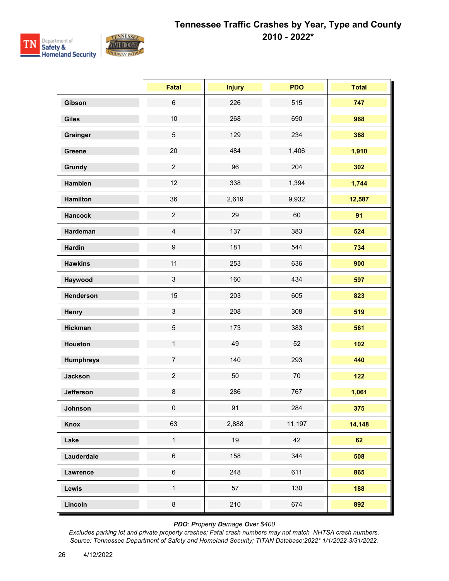

|                  | <b>Fatal</b>     | <b>Injury</b> | <b>PDO</b> | <b>Total</b> |
|------------------|------------------|---------------|------------|--------------|
| Gibson           | $\,6\,$          | 226           | 515        | 747          |
| <b>Giles</b>     | $10$             | 268           | 690        | 968          |
| Grainger         | $\overline{5}$   | 129           | 234        | 368          |
| Greene           | 20               | 484           | 1,406      | 1,910        |
| Grundy           | $\overline{2}$   | 96            | 204        | 302          |
| Hamblen          | 12               | 338           | 1,394      | 1,744        |
| <b>Hamilton</b>  | 36               | 2,619         | 9,932      | 12,587       |
| <b>Hancock</b>   | $\overline{2}$   | 29            | 60         | 91           |
| Hardeman         | $\overline{4}$   | 137           | 383        | 524          |
| <b>Hardin</b>    | $\boldsymbol{9}$ | 181           | 544        | 734          |
| <b>Hawkins</b>   | 11               | 253           | 636        | 900          |
| Haywood          | $\mathfrak{S}$   | 160           | 434        | 597          |
| Henderson        | 15               | 203           | 605        | 823          |
| Henry            | $\mathbf{3}$     | 208           | 308        | 519          |
| <b>Hickman</b>   | $\sqrt{5}$       | 173           | 383        | 561          |
| <b>Houston</b>   | $\mathbf{1}$     | 49            | 52         | $102$        |
| <b>Humphreys</b> | $\overline{7}$   | 140           | 293        | 440          |
| <b>Jackson</b>   | $\overline{c}$   | 50            | 70         | $122$        |
| <b>Jefferson</b> | 8                | 286           | 767        | 1,061        |
| Johnson          | $\overline{0}$   | 91            | 284        | 375          |
| Knox             | 63               | 2,888         | 11,197     | 14,148       |
| Lake             | $\mathbf{1}$     | 19            | 42         | 62           |
| Lauderdale       | $\,6\,$          | 158           | 344        | 508          |
| Lawrence         | $\,6\,$          | 248           | 611        | 865          |
| Lewis            | $\mathbf{1}$     | 57            | 130        | 188          |
| Lincoln          | $\bf 8$          | 210           | 674        | 892          |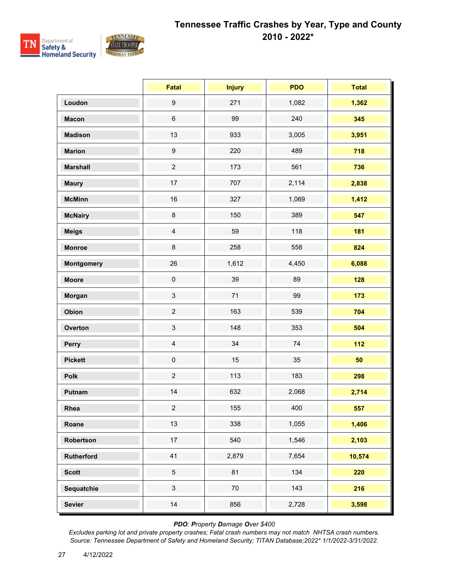

|                   | <b>Fatal</b>              | <b>Injury</b> | <b>PDO</b> | <b>Total</b> |
|-------------------|---------------------------|---------------|------------|--------------|
| Loudon            | $\boldsymbol{9}$          | 271           | 1,082      | 1,362        |
| <b>Macon</b>      | $\,6\,$                   | 99            | 240        | 345          |
| <b>Madison</b>    | 13                        | 933           | 3,005      | 3,951        |
| <b>Marion</b>     | $\boldsymbol{9}$          | 220           | 489        | 718          |
| <b>Marshall</b>   | $\overline{c}$            | 173           | 561        | 736          |
| <b>Maury</b>      | 17                        | 707           | 2,114      | 2,838        |
| <b>McMinn</b>     | 16                        | 327           | 1,069      | 1,412        |
| <b>McNairy</b>    | 8                         | 150           | 389        | 547          |
| <b>Meigs</b>      | $\overline{4}$            | 59            | 118        | 181          |
| <b>Monroe</b>     | $\bf 8$                   | 258           | 558        | 824          |
| <b>Montgomery</b> | 26                        | 1,612         | 4,450      | 6,088        |
| <b>Moore</b>      | $\pmb{0}$                 | 39            | 89         | 128          |
| Morgan            | 3                         | 71            | 99         | 173          |
| Obion             | $\overline{c}$            | 163           | 539        | 704          |
| Overton           | $\ensuremath{\mathsf{3}}$ | 148           | 353        | 504          |
| Perry             | $\overline{4}$            | 34            | 74         | $112$        |
| <b>Pickett</b>    | $\pmb{0}$                 | 15            | 35         | 50           |
| Polk              | $\overline{2}$            | 113           | 183        | 298          |
| Putnam            | 14                        | 632           | 2,068      | 2,714        |
| Rhea              | $\overline{2}$            | 155           | 400        | 557          |
| Roane             | 13                        | 338           | 1,055      | 1,406        |
| Robertson         | 17                        | 540           | 1,546      | 2,103        |
| Rutherford        | 41                        | 2,879         | 7,654      | 10,574       |
| <b>Scott</b>      | 5                         | 81            | 134        | 220          |
| Sequatchie        | $\mathbf{3}$              | 70            | 143        | 216          |
| <b>Sevier</b>     | 14                        | 856           | 2,728      | 3,598        |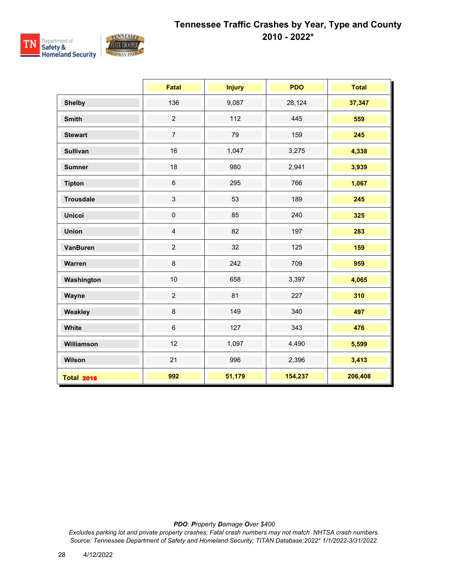

|                   | <b>Fatal</b>   | <b>Injury</b> | <b>PDO</b> | <b>Total</b> |
|-------------------|----------------|---------------|------------|--------------|
| <b>Shelby</b>     | 136            | 9,087         | 28,124     | 37,347       |
| <b>Smith</b>      | $\overline{2}$ | 112           | 445        | 559          |
| <b>Stewart</b>    | $\overline{7}$ | 79            | 159        | 245          |
| <b>Sullivan</b>   | 16             | 1,047         | 3,275      | 4,338        |
| <b>Sumner</b>     | 18             | 980           | 2,941      | 3,939        |
| <b>Tipton</b>     | $\,6$          | 295           | 766        | 1,067        |
| <b>Trousdale</b>  | $\mathbf{3}$   | 53            | 189        | 245          |
| <b>Unicoi</b>     | $\pmb{0}$      | 85            | 240        | 325          |
| <b>Union</b>      | $\overline{4}$ | 82            | 197        | 283          |
| <b>VanBuren</b>   | $\overline{2}$ | 32            | 125        | 159          |
| Warren            | 8              | 242           | 709        | 959          |
| Washington        | 10             | 658           | 3,397      | 4,065        |
| Wayne             | $\overline{2}$ | 81            | 227        | 310          |
| Weakley           | $\bf 8$        | 149           | 340        | 497          |
| White             | $6\phantom{1}$ | 127           | 343        | 476          |
| Williamson        | 12             | 1,097         | 4,490      | 5,599        |
| Wilson            | 21             | 996           | 2,396      | 3,413        |
| <b>Total 2016</b> | 992            | 51,179        | 154,237    | 206,408      |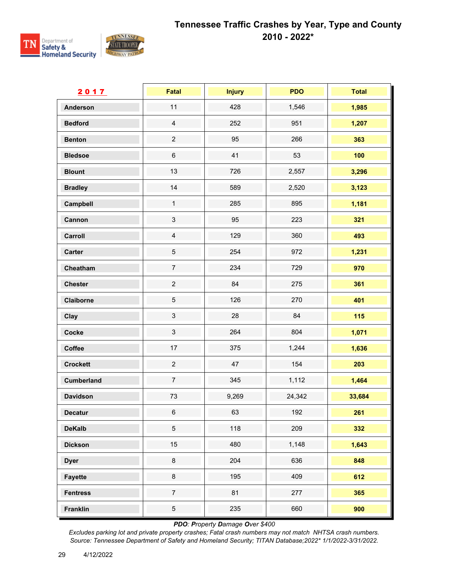

| 2017              | Fatal                     | <b>Injury</b> | <b>PDO</b> | <b>Total</b> |
|-------------------|---------------------------|---------------|------------|--------------|
| <b>Anderson</b>   | 11                        | 428           | 1,546      | 1,985        |
| <b>Bedford</b>    | $\overline{4}$            | 252           | 951        | 1,207        |
| <b>Benton</b>     | $\overline{c}$            | 95            | 266        | 363          |
| <b>Bledsoe</b>    | $\,6$                     | 41            | 53         | 100          |
| <b>Blount</b>     | 13                        | 726           | 2,557      | 3,296        |
| <b>Bradley</b>    | 14                        | 589           | 2,520      | 3,123        |
| Campbell          | $\mathbf{1}$              | 285           | 895        | 1,181        |
| Cannon            | $\ensuremath{\mathsf{3}}$ | 95            | 223        | 321          |
| Carroll           | $\overline{4}$            | 129           | 360        | 493          |
| <b>Carter</b>     | $\,$ 5 $\,$               | 254           | 972        | 1,231        |
| Cheatham          | $\overline{7}$            | 234           | 729        | 970          |
| <b>Chester</b>    | $\overline{c}$            | 84            | 275        | 361          |
| Claiborne         | $\sqrt{5}$                | 126           | 270        | 401          |
| Clay              | $\mathfrak{S}$            | 28            | 84         | 115          |
| Cocke             | $\sqrt{3}$                | 264           | 804        | 1,071        |
| Coffee            | 17                        | 375           | 1,244      | 1,636        |
| <b>Crockett</b>   | $\overline{c}$            | 47            | 154        | 203          |
| <b>Cumberland</b> | $\overline{7}$            | 345           | 1,112      | 1,464        |
| <b>Davidson</b>   | 73                        | 9,269         | 24,342     | 33,684       |
| Decatur           | $\,6\,$                   | 63            | 192        | 261          |
| <b>DeKalb</b>     | $\overline{5}$            | 118           | 209        | 332          |
| <b>Dickson</b>    | 15                        | 480           | 1,148      | 1,643        |
| <b>Dyer</b>       | 8                         | 204           | 636        | 848          |
| <b>Fayette</b>    | $\bf 8$                   | 195           | 409        | 612          |
| <b>Fentress</b>   | $\boldsymbol{7}$          | 81            | 277        | 365          |
| <b>Franklin</b>   | $\sqrt{5}$                | 235           | 660        | 900          |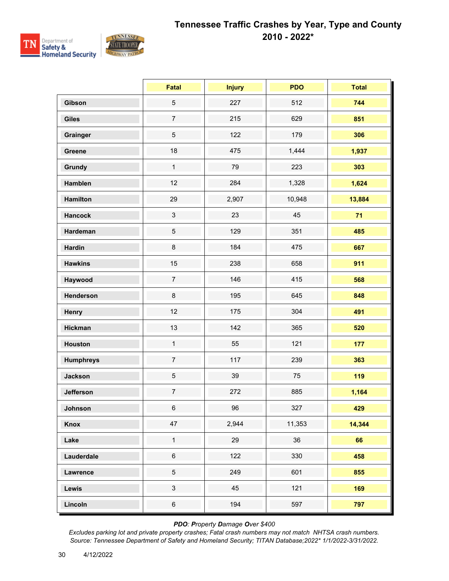

|                  | <b>Fatal</b>   | <b>Injury</b> | <b>PDO</b> | <b>Total</b> |
|------------------|----------------|---------------|------------|--------------|
| Gibson           | 5              | 227           | 512        | 744          |
| <b>Giles</b>     | $\overline{7}$ | 215           | 629        | 851          |
| Grainger         | 5              | 122           | 179        | 306          |
| Greene           | 18             | 475           | 1,444      | 1,937        |
| Grundy           | $\mathbf{1}$   | 79            | 223        | 303          |
| Hamblen          | 12             | 284           | 1,328      | 1,624        |
| <b>Hamilton</b>  | 29             | 2,907         | 10,948     | 13,884       |
| <b>Hancock</b>   | $\mathbf{3}$   | 23            | 45         | 71           |
| Hardeman         | 5              | 129           | 351        | 485          |
| <b>Hardin</b>    | 8              | 184           | 475        | 667          |
| <b>Hawkins</b>   | 15             | 238           | 658        | 911          |
| Haywood          | $\overline{7}$ | 146           | 415        | 568          |
| Henderson        | 8              | 195           | 645        | 848          |
| Henry            | 12             | 175           | 304        | 491          |
| <b>Hickman</b>   | 13             | 142           | 365        | 520          |
| <b>Houston</b>   | $\mathbf{1}$   | 55            | 121        | 177          |
| <b>Humphreys</b> | $\overline{7}$ | 117           | 239        | 363          |
| <b>Jackson</b>   | 5              | 39            | 75         | 119          |
| <b>Jefferson</b> | $\overline{7}$ | 272           | 885        | 1,164        |
| Johnson          | $6\phantom{.}$ | 96            | 327        | 429          |
| Knox             | 47             | 2,944         | 11,353     | 14,344       |
| Lake             | $\mathbf{1}$   | 29            | 36         | 66           |
| Lauderdale       | $\,6\,$        | 122           | 330        | 458          |
| Lawrence         | 5              | 249           | 601        | 855          |
| Lewis            | $\mathbf{3}$   | 45            | 121        | 169          |
| Lincoln          | $\,6\,$        | 194           | 597        | 797          |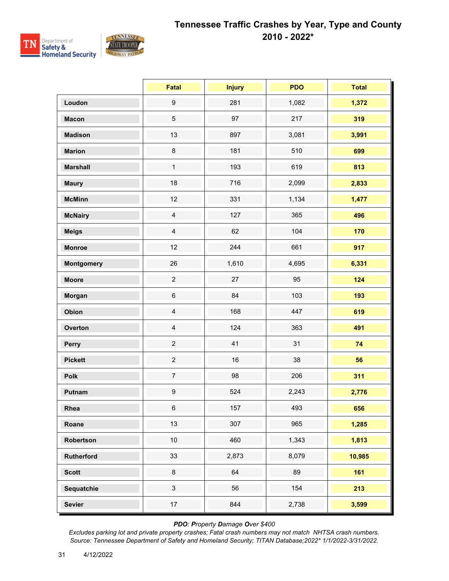

|                   | <b>Fatal</b>     | <b>Injury</b> | <b>PDO</b> | <b>Total</b> |
|-------------------|------------------|---------------|------------|--------------|
| Loudon            | $\boldsymbol{9}$ | 281           | 1,082      | 1,372        |
| <b>Macon</b>      | $\sqrt{5}$       | 97            | 217        | 319          |
| <b>Madison</b>    | 13               | 897           | 3,081      | 3,991        |
| <b>Marion</b>     | $\bf 8$          | 181           | 510        | 699          |
| <b>Marshall</b>   | $\mathbf{1}$     | 193           | 619        | 813          |
| <b>Maury</b>      | 18               | 716           | 2,099      | 2,833        |
| <b>McMinn</b>     | 12               | 331           | 1,134      | 1,477        |
| <b>McNairy</b>    | $\overline{4}$   | 127           | 365        | 496          |
| <b>Meigs</b>      | $\overline{4}$   | 62            | 104        | 170          |
| <b>Monroe</b>     | 12               | 244           | 661        | 917          |
| <b>Montgomery</b> | 26               | 1,610         | 4,695      | 6,331        |
| <b>Moore</b>      | $\overline{2}$   | 27            | 95         | 124          |
| Morgan            | $\,6\,$          | 84            | 103        | 193          |
| Obion             | $\overline{4}$   | 168           | 447        | 619          |
| Overton           | $\overline{4}$   | 124           | 363        | 491          |
| Perry             | $\overline{c}$   | 41            | 31         | 74           |
| <b>Pickett</b>    | $\overline{2}$   | 16            | 38         | 56           |
| Polk              | $\overline{7}$   | 98            | 206        | 311          |
| Putnam            | $\boldsymbol{9}$ | 524           | 2,243      | 2,776        |
| Rhea              | $6\phantom{.0}$  | 157           | 493        | 656          |
| Roane             | 13               | 307           | 965        | 1,285        |
| Robertson         | $10$             | 460           | 1,343      | 1,813        |
| Rutherford        | 33               | 2,873         | 8,079      | 10,985       |
| <b>Scott</b>      | $\bf 8$          | 64            | 89         | 161          |
| Sequatchie        | $\mathfrak{S}$   | 56            | 154        | 213          |
| <b>Sevier</b>     | $17\,$           | 844           | 2,738      | 3,599        |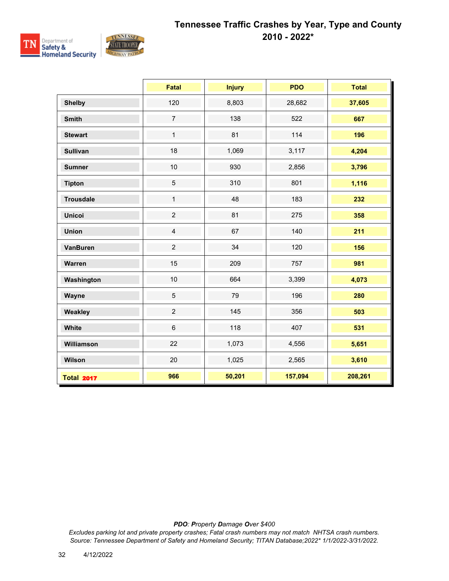

|                   | <b>Fatal</b>   | <b>Injury</b> | <b>PDO</b> | <b>Total</b> |
|-------------------|----------------|---------------|------------|--------------|
| <b>Shelby</b>     | 120            | 8,803         | 28,682     | 37,605       |
| <b>Smith</b>      | $\overline{7}$ | 138           | 522        | 667          |
| <b>Stewart</b>    | $\mathbf{1}$   | 81            | 114        | 196          |
| <b>Sullivan</b>   | 18             | 1,069         | 3,117      | 4,204        |
| <b>Sumner</b>     | 10             | 930           | 2,856      | 3,796        |
| <b>Tipton</b>     | $\overline{5}$ | 310           | 801        | 1,116        |
| <b>Trousdale</b>  | $\mathbf{1}$   | 48            | 183        | 232          |
| <b>Unicoi</b>     | $\overline{2}$ | 81            | 275        | 358          |
| <b>Union</b>      | $\overline{4}$ | 67            | 140        | 211          |
| <b>VanBuren</b>   | $\overline{2}$ | 34            | 120        | 156          |
| Warren            | 15             | 209           | 757        | 981          |
| Washington        | 10             | 664           | 3,399      | 4,073        |
| Wayne             | $\sqrt{5}$     | 79            | 196        | 280          |
| Weakley           | $\overline{2}$ | 145           | 356        | 503          |
| White             | $6\phantom{1}$ | 118           | 407        | 531          |
| Williamson        | 22             | 1,073         | 4,556      | 5,651        |
| Wilson            | 20             | 1,025         | 2,565      | 3,610        |
| <b>Total 2017</b> | 966            | 50,201        | 157,094    | 208,261      |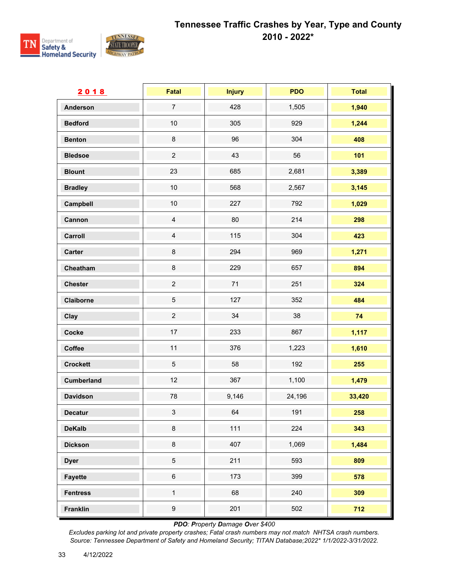

| 2018              | <b>Fatal</b>     | <b>Injury</b> | <b>PDO</b> | <b>Total</b> |
|-------------------|------------------|---------------|------------|--------------|
| <b>Anderson</b>   | $\overline{7}$   | 428           | 1,505      | 1,940        |
| <b>Bedford</b>    | $10$             | 305           | 929        | 1,244        |
| <b>Benton</b>     | $\bf 8$          | 96            | 304        | 408          |
| <b>Bledsoe</b>    | $\overline{2}$   | 43            | 56         | 101          |
| <b>Blount</b>     | 23               | 685           | 2,681      | 3,389        |
| <b>Bradley</b>    | $10$             | 568           | 2,567      | 3,145        |
| Campbell          | $10\,$           | 227           | 792        | 1,029        |
| Cannon            | $\overline{4}$   | 80            | 214        | 298          |
| Carroll           | $\overline{4}$   | 115           | 304        | 423          |
| <b>Carter</b>     | $\bf 8$          | 294           | 969        | 1,271        |
| Cheatham          | $\bf 8$          | 229           | 657        | 894          |
| <b>Chester</b>    | $\overline{c}$   | $71$          | 251        | 324          |
| Claiborne         | $\sqrt{5}$       | 127           | 352        | 484          |
| Clay              | $\overline{2}$   | 34            | 38         | 74           |
| Cocke             | $17\,$           | 233           | 867        | 1,117        |
| Coffee            | 11               | 376           | 1,223      | 1,610        |
| <b>Crockett</b>   | $\sqrt{5}$       | 58            | 192        | 255          |
| <b>Cumberland</b> | 12               | 367           | 1,100      | 1,479        |
| <b>Davidson</b>   | 78               | 9,146         | 24,196     | 33,420       |
| <b>Decatur</b>    | $\mathfrak{S}$   | 64            | 191        | 258          |
| <b>DeKalb</b>     | $\bf 8$          | 111           | 224        | 343          |
| <b>Dickson</b>    | $\bf 8$          | 407           | 1,069      | 1,484        |
| <b>Dyer</b>       | $\sqrt{5}$       | 211           | 593        | 809          |
| <b>Fayette</b>    | $\,6\,$          | 173           | 399        | 578          |
| <b>Fentress</b>   | $\mathbf{1}$     | 68            | 240        | 309          |
| <b>Franklin</b>   | $\boldsymbol{9}$ | 201           | 502        | 712          |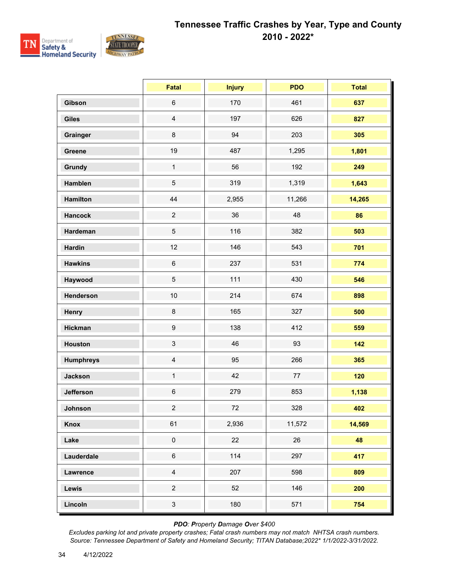

|                  | <b>Fatal</b>     | <b>Injury</b> | <b>PDO</b> | <b>Total</b> |
|------------------|------------------|---------------|------------|--------------|
| Gibson           | $\,6\,$          | 170           | 461        | 637          |
| <b>Giles</b>     | $\overline{4}$   | 197           | 626        | 827          |
| Grainger         | $\bf 8$          | 94            | 203        | 305          |
| Greene           | 19               | 487           | 1,295      | 1,801        |
| Grundy           | $\mathbf{1}$     | 56            | 192        | 249          |
| Hamblen          | 5                | 319           | 1,319      | 1,643        |
| <b>Hamilton</b>  | 44               | 2,955         | 11,266     | 14,265       |
| <b>Hancock</b>   | $\overline{2}$   | 36            | 48         | 86           |
| Hardeman         | 5                | 116           | 382        | 503          |
| <b>Hardin</b>    | 12               | 146           | 543        | 701          |
| <b>Hawkins</b>   | $\,6\,$          | 237           | 531        | 774          |
| Haywood          | 5                | 111           | 430        | 546          |
| Henderson        | 10               | 214           | 674        | 898          |
| Henry            | $\bf 8$          | 165           | 327        | 500          |
| <b>Hickman</b>   | $\boldsymbol{9}$ | 138           | 412        | 559          |
| <b>Houston</b>   | 3                | 46            | 93         | 142          |
| <b>Humphreys</b> | $\overline{4}$   | 95            | 266        | 365          |
| <b>Jackson</b>   | $\mathbf{1}$     | 42            | 77         | 120          |
| <b>Jefferson</b> | $\,6$            | 279           | 853        | 1,138        |
| Johnson          | $\overline{a}$   | 72            | 328        | 402          |
| Knox             | 61               | 2,936         | 11,572     | 14,569       |
| Lake             | $\pmb{0}$        | 22            | 26         | 48           |
| Lauderdale       | $\,6\,$          | 114           | 297        | 417          |
| Lawrence         | $\overline{4}$   | 207           | 598        | 809          |
| Lewis            | $\overline{a}$   | 52            | 146        | 200          |
| Lincoln          | $\mathbf{3}$     | 180           | 571        | 754          |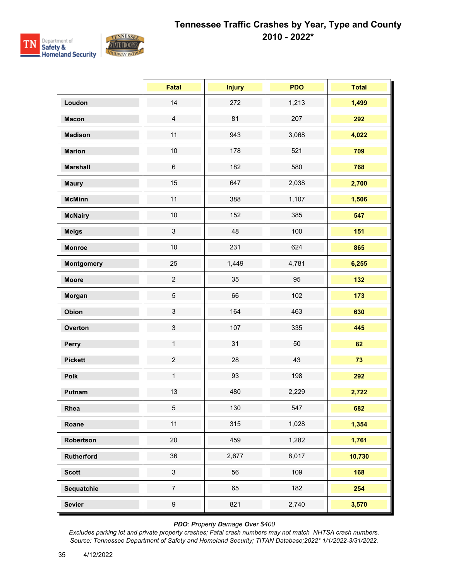

|                   | <b>Fatal</b>              | <b>Injury</b> | <b>PDO</b> | <b>Total</b> |
|-------------------|---------------------------|---------------|------------|--------------|
| Loudon            | 14                        | 272           | 1,213      | 1,499        |
| <b>Macon</b>      | $\overline{4}$            | 81            | 207        | 292          |
| <b>Madison</b>    | 11                        | 943           | 3,068      | 4,022        |
| <b>Marion</b>     | $10$                      | 178           | 521        | 709          |
| <b>Marshall</b>   | $\,6\,$                   | 182           | 580        | 768          |
| <b>Maury</b>      | 15                        | 647           | 2,038      | 2,700        |
| <b>McMinn</b>     | 11                        | 388           | 1,107      | 1,506        |
| <b>McNairy</b>    | $10$                      | 152           | 385        | 547          |
| <b>Meigs</b>      | $\mathfrak{S}$            | 48            | 100        | 151          |
| <b>Monroe</b>     | $10$                      | 231           | 624        | 865          |
| <b>Montgomery</b> | 25                        | 1,449         | 4,781      | 6,255        |
| <b>Moore</b>      | $\overline{2}$            | 35            | 95         | 132          |
| Morgan            | $\sqrt{5}$                | 66            | 102        | 173          |
| Obion             | $\mathfrak{S}$            | 164           | 463        | 630          |
| Overton           | $\ensuremath{\mathsf{3}}$ | 107           | 335        | 445          |
| Perry             | $\mathbf{1}$              | 31            | 50         | 82           |
| <b>Pickett</b>    | $\overline{2}$            | 28            | 43         | 73           |
| Polk              | $\mathbf{1}$              | 93            | 198        | 292          |
| Putnam            | 13                        | 480           | 2,229      | 2,722        |
| Rhea              | $5\phantom{.0}$           | 130           | 547        | 682          |
| Roane             | 11                        | 315           | 1,028      | 1,354        |
| Robertson         | 20                        | 459           | 1,282      | 1,761        |
| Rutherford        | 36                        | 2,677         | 8,017      | 10,730       |
| <b>Scott</b>      | $\mathbf{3}$              | 56            | 109        | 168          |
| Sequatchie        | $\overline{7}$            | 65            | 182        | 254          |
| <b>Sevier</b>     | $\boldsymbol{9}$          | 821           | 2,740      | 3,570        |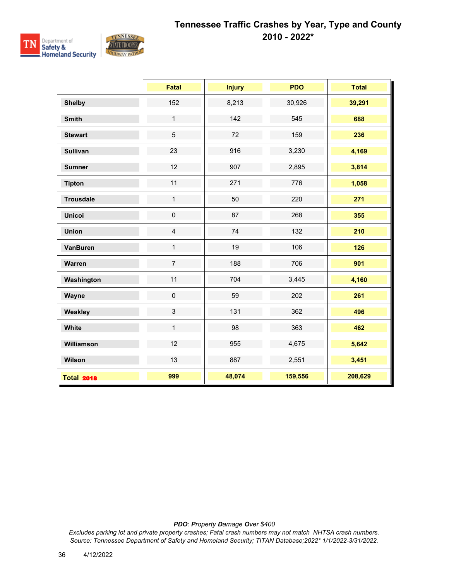

|                   | <b>Fatal</b>   | <b>Injury</b> | <b>PDO</b> | <b>Total</b> |
|-------------------|----------------|---------------|------------|--------------|
| <b>Shelby</b>     | 152            | 8,213         | 30,926     | 39,291       |
| <b>Smith</b>      | $\mathbf{1}$   | 142           | 545        | 688          |
| <b>Stewart</b>    | 5              | 72            | 159        | 236          |
| <b>Sullivan</b>   | 23             | 916           | 3,230      | 4,169        |
| <b>Sumner</b>     | 12             | 907           | 2,895      | 3,814        |
| <b>Tipton</b>     | 11             | 271           | 776        | 1,058        |
| <b>Trousdale</b>  | $\mathbf{1}$   | 50            | 220        | 271          |
| <b>Unicoi</b>     | $\pmb{0}$      | 87            | 268        | 355          |
| <b>Union</b>      | $\overline{4}$ | 74            | 132        | 210          |
| <b>VanBuren</b>   | $\mathbf{1}$   | 19            | 106        | 126          |
| Warren            | $\overline{7}$ | 188           | 706        | 901          |
| Washington        | 11             | 704           | 3,445      | 4,160        |
| Wayne             | $\mathbf 0$    | 59            | 202        | 261          |
| Weakley           | $\mathfrak{S}$ | 131           | 362        | 496          |
| White             | $\mathbf{1}$   | 98            | 363        | 462          |
| Williamson        | 12             | 955           | 4,675      | 5,642        |
| Wilson            | 13             | 887           | 2,551      | 3,451        |
| <b>Total 2018</b> | 999            | 48,074        | 159,556    | 208,629      |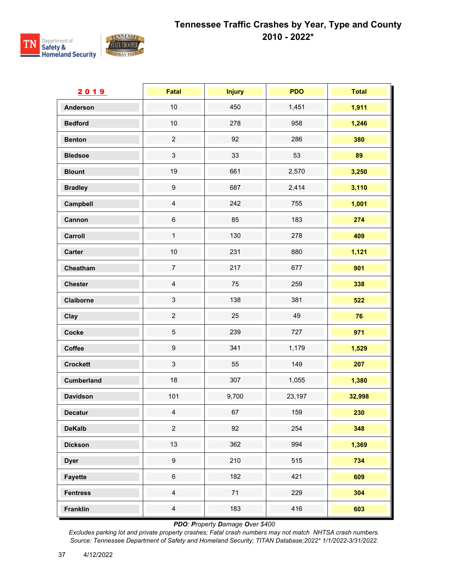

| 2019              | Fatal                     | <b>Injury</b> | <b>PDO</b> | <b>Total</b> |
|-------------------|---------------------------|---------------|------------|--------------|
| <b>Anderson</b>   | 10                        | 450           | 1,451      | 1,911        |
| <b>Bedford</b>    | $10$                      | 278           | 958        | 1,246        |
| <b>Benton</b>     | $\overline{c}$            | 92            | 286        | 380          |
| <b>Bledsoe</b>    | $\ensuremath{\mathsf{3}}$ | 33            | 53         | 89           |
| <b>Blount</b>     | 19                        | 661           | 2,570      | 3,250        |
| <b>Bradley</b>    | $\boldsymbol{9}$          | 687           | 2,414      | 3,110        |
| Campbell          | $\overline{4}$            | 242           | 755        | 1,001        |
| Cannon            | $\,6\,$                   | 85            | 183        | 274          |
| Carroll           | $\mathbf 1$               | 130           | 278        | 409          |
| Carter            | 10                        | 231           | 880        | 1,121        |
| Cheatham          | $\overline{7}$            | 217           | 677        | 901          |
| <b>Chester</b>    | $\overline{4}$            | 75            | 259        | 338          |
| Claiborne         | $\ensuremath{\mathsf{3}}$ | 138           | 381        | 522          |
| Clay              | $\overline{c}$            | 25            | 49         | 76           |
| Cocke             | $\,$ 5 $\,$               | 239           | 727        | 971          |
| Coffee            | 9                         | 341           | 1,179      | 1,529        |
| <b>Crockett</b>   | $\mathbf{3}$              | 55            | 149        | 207          |
| <b>Cumberland</b> | 18                        | 307           | 1,055      | 1,380        |
| <b>Davidson</b>   | 101                       | 9,700         | 23,197     | 32,998       |
| <b>Decatur</b>    | $\overline{4}$            | 67            | 159        | 230          |
| <b>DeKalb</b>     | $\overline{c}$            | 92            | 254        | 348          |
| <b>Dickson</b>    | 13                        | 362           | 994        | 1,369        |
| <b>Dyer</b>       | $\boldsymbol{9}$          | 210           | 515        | 734          |
| <b>Fayette</b>    | $\,6\,$                   | 182           | 421        | 609          |
| <b>Fentress</b>   | $\overline{4}$            | $71$          | 229        | 304          |
| <b>Franklin</b>   | $\overline{4}$            | 183           | 416        | 603          |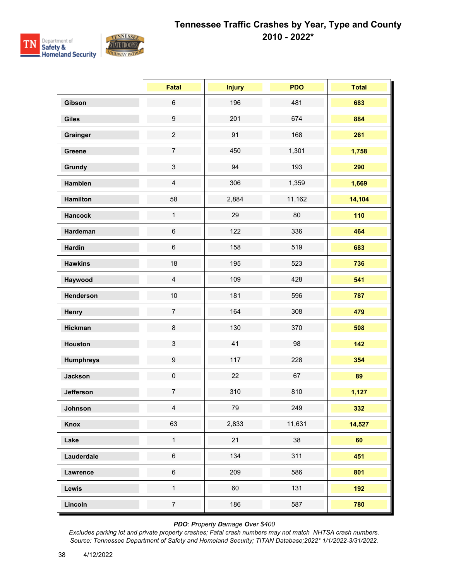

|                  | <b>Fatal</b>     | <b>Injury</b> | <b>PDO</b> | <b>Total</b> |
|------------------|------------------|---------------|------------|--------------|
| Gibson           | $\,6\,$          | 196           | 481        | 683          |
| <b>Giles</b>     | $\boldsymbol{9}$ | 201           | 674        | 884          |
| Grainger         | $\overline{c}$   | 91            | 168        | 261          |
| Greene           | $\overline{7}$   | 450           | 1,301      | 1,758        |
| <b>Grundy</b>    | $\sqrt{3}$       | 94            | 193        | 290          |
| Hamblen          | $\overline{4}$   | 306           | 1,359      | 1,669        |
| Hamilton         | 58               | 2,884         | 11,162     | 14,104       |
| <b>Hancock</b>   | $\mathbf{1}$     | 29            | 80         | 110          |
| Hardeman         | $\,6\,$          | 122           | 336        | 464          |
| <b>Hardin</b>    | $\,6\,$          | 158           | 519        | 683          |
| <b>Hawkins</b>   | 18               | 195           | 523        | 736          |
| Haywood          | $\overline{4}$   | 109           | 428        | 541          |
| Henderson        | 10               | 181           | 596        | 787          |
| Henry            | $\boldsymbol{7}$ | 164           | 308        | 479          |
| <b>Hickman</b>   | $\bf 8$          | 130           | 370        | 508          |
| <b>Houston</b>   | $\mathsf 3$      | 41            | 98         | 142          |
| <b>Humphreys</b> | $\boldsymbol{9}$ | 117           | 228        | 354          |
| <b>Jackson</b>   | $\mathbf 0$      | 22            | 67         | 89           |
| <b>Jefferson</b> | $\boldsymbol{7}$ | 310           | 810        | 1,127        |
| Johnson          | $\overline{4}$   | 79            | 249        | 332          |
| <b>Knox</b>      | 63               | 2,833         | 11,631     | 14,527       |
| Lake             | $\mathbf 1$      | 21            | 38         | 60           |
| Lauderdale       | $\,6\,$          | 134           | 311        | 451          |
| <b>Lawrence</b>  | $\,6\,$          | 209           | 586        | 801          |
| Lewis            | $\mathbf{1}$     | 60            | 131        | 192          |
| Lincoln          | $\overline{7}$   | 186           | 587        | 780          |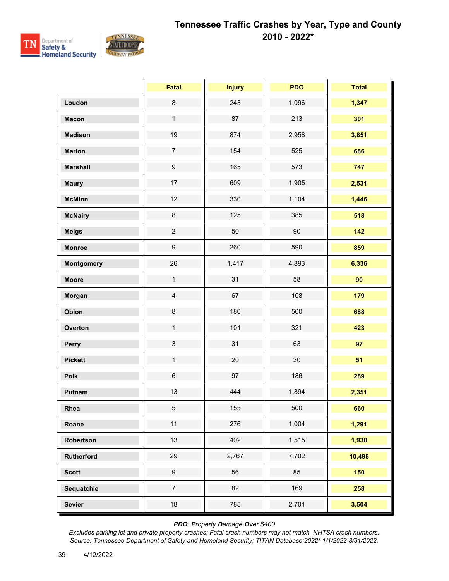

|                   | <b>Fatal</b>              | <b>Injury</b> | <b>PDO</b> | <b>Total</b> |
|-------------------|---------------------------|---------------|------------|--------------|
| Loudon            | $\bf 8$                   | 243           | 1,096      | 1,347        |
| <b>Macon</b>      | $\mathbf{1}$              | 87            | 213        | 301          |
| <b>Madison</b>    | 19                        | 874           | 2,958      | 3,851        |
| <b>Marion</b>     | $\boldsymbol{7}$          | 154           | 525        | 686          |
| <b>Marshall</b>   | $\boldsymbol{9}$          | 165           | 573        | 747          |
| <b>Maury</b>      | 17                        | 609           | 1,905      | 2,531        |
| <b>McMinn</b>     | 12                        | 330           | 1,104      | 1,446        |
| <b>McNairy</b>    | $\bf 8$                   | 125           | 385        | 518          |
| <b>Meigs</b>      | $\overline{c}$            | 50            | 90         | 142          |
| <b>Monroe</b>     | $\boldsymbol{9}$          | 260           | 590        | 859          |
| <b>Montgomery</b> | 26                        | 1,417         | 4,893      | 6,336        |
| <b>Moore</b>      | $\mathbf{1}$              | 31            | 58         | 90           |
| Morgan            | $\overline{4}$            | 67            | 108        | 179          |
| Obion             | $\bf 8$                   | 180           | 500        | 688          |
| Overton           | $\mathbf{1}$              | 101           | 321        | 423          |
| Perry             | $\ensuremath{\mathsf{3}}$ | 31            | 63         | 97           |
| <b>Pickett</b>    | $\mathbf{1}$              | 20            | 30         | 51           |
| Polk              | $\,6\,$                   | 97            | 186        | 289          |
| Putnam            | 13                        | 444           | 1,894      | 2,351        |
| Rhea              | 5                         | 155           | 500        | 660          |
| Roane             | 11                        | 276           | 1,004      | 1,291        |
| Robertson         | 13                        | 402           | 1,515      | 1,930        |
| Rutherford        | 29                        | 2,767         | 7,702      | 10,498       |
| <b>Scott</b>      | $\boldsymbol{9}$          | 56            | 85         | 150          |
| Sequatchie        | $\overline{7}$            | 82            | 169        | 258          |
| <b>Sevier</b>     | 18                        | 785           | 2,701      | 3,504        |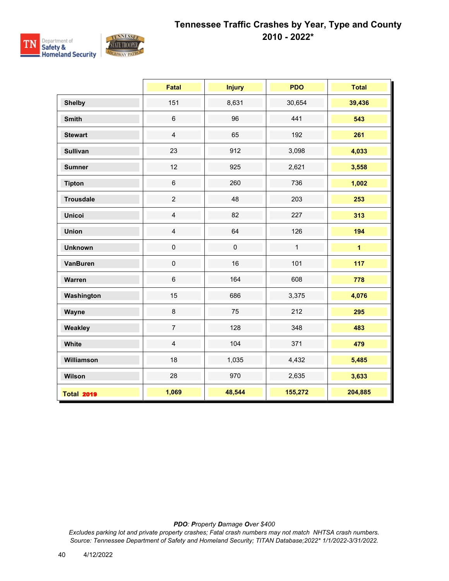

|                   | <b>Fatal</b>     | <b>Injury</b> | <b>PDO</b>   | <b>Total</b>   |
|-------------------|------------------|---------------|--------------|----------------|
| <b>Shelby</b>     | 151              | 8,631         | 30,654       | 39,436         |
| <b>Smith</b>      | $\,6\,$          | 96            | 441          | 543            |
| <b>Stewart</b>    | $\overline{4}$   | 65            | 192          | 261            |
| <b>Sullivan</b>   | 23               | 912           | 3,098        | 4,033          |
| <b>Sumner</b>     | 12               | 925           | 2,621        | 3,558          |
| <b>Tipton</b>     | $\,6\,$          | 260           | 736          | 1,002          |
| <b>Trousdale</b>  | $\overline{2}$   | 48            | 203          | 253            |
| <b>Unicoi</b>     | $\overline{4}$   | 82            | 227          | 313            |
| <b>Union</b>      | $\overline{4}$   | 64            | 126          | 194            |
| <b>Unknown</b>    | $\pmb{0}$        | $\pmb{0}$     | $\mathbf{1}$ | $\overline{1}$ |
| <b>VanBuren</b>   | $\mathsf 0$      | 16            | 101          | 117            |
| Warren            | $6\phantom{a}$   | 164           | 608          | 778            |
| Washington        | 15               | 686           | 3,375        | 4,076          |
| Wayne             | $\bf 8$          | 75            | 212          | 295            |
| Weakley           | $\boldsymbol{7}$ | 128           | 348          | 483            |
| White             | $\overline{4}$   | 104           | 371          | 479            |
| Williamson        | 18               | 1,035         | 4,432        | 5,485          |
| Wilson            | 28               | 970           | 2,635        | 3,633          |
| <b>Total 2019</b> | 1,069            | 48,544        | 155,272      | 204,885        |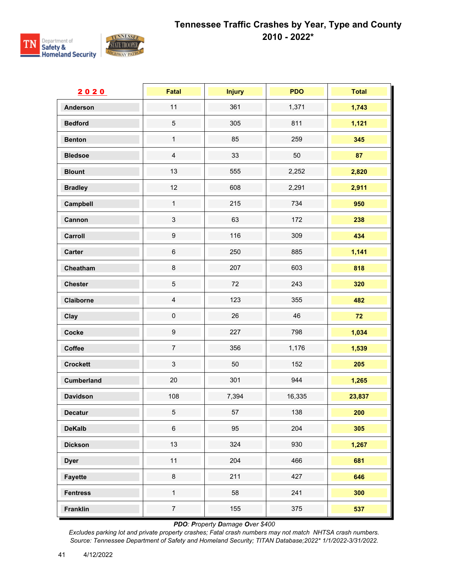

| 2020              | <b>Fatal</b>              | <b>Injury</b> | <b>PDO</b> | <b>Total</b> |
|-------------------|---------------------------|---------------|------------|--------------|
| <b>Anderson</b>   | 11                        | 361           | 1,371      | 1,743        |
| <b>Bedford</b>    | $\sqrt{5}$                | 305           | 811        | 1,121        |
| <b>Benton</b>     | $\mathbf{1}$              | 85            | 259        | 345          |
| <b>Bledsoe</b>    | $\overline{4}$            | 33            | 50         | 87           |
| <b>Blount</b>     | 13                        | 555           | 2,252      | 2,820        |
| <b>Bradley</b>    | 12                        | 608           | 2,291      | 2,911        |
| Campbell          | $\mathbf{1}$              | 215           | 734        | 950          |
| Cannon            | $\ensuremath{\mathsf{3}}$ | 63            | 172        | 238          |
| Carroll           | $\boldsymbol{9}$          | 116           | 309        | 434          |
| <b>Carter</b>     | $\,6\,$                   | 250           | 885        | 1,141        |
| Cheatham          | $\bf 8$                   | 207           | 603        | 818          |
| <b>Chester</b>    | $\sqrt{5}$                | 72            | 243        | 320          |
| Claiborne         | $\overline{4}$            | 123           | 355        | 482          |
| Clay              | $\mathbf 0$               | 26            | 46         | 72           |
| Cocke             | $\boldsymbol{9}$          | 227           | 798        | 1,034        |
| Coffee            | $\boldsymbol{7}$          | 356           | 1,176      | 1,539        |
| <b>Crockett</b>   | $\mathfrak{S}$            | 50            | 152        | 205          |
| <b>Cumberland</b> | $20\,$                    | 301           | 944        | 1,265        |
| <b>Davidson</b>   | 108                       | 7,394         | 16,335     | 23,837       |
| <b>Decatur</b>    | $\sqrt{5}$                | 57            | 138        | 200          |
| <b>DeKalb</b>     | $\,6\,$                   | 95            | 204        | 305          |
| <b>Dickson</b>    | 13                        | 324           | 930        | 1,267        |
| <b>Dyer</b>       | 11                        | 204           | 466        | 681          |
| <b>Fayette</b>    | $\bf 8$                   | 211           | 427        | 646          |
| <b>Fentress</b>   | $\mathbf 1$               | 58            | 241        | 300          |
| <b>Franklin</b>   | $\overline{7}$            | 155           | 375        | 537          |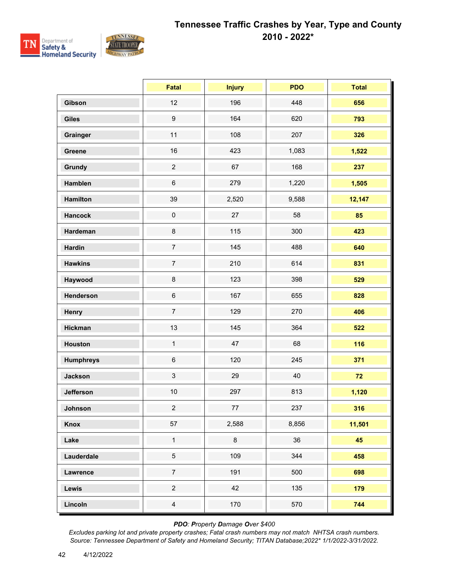

|                  | Fatal            | <b>Injury</b> | <b>PDO</b> | <b>Total</b> |
|------------------|------------------|---------------|------------|--------------|
| Gibson           | 12               | 196           | 448        | 656          |
| <b>Giles</b>     | $\boldsymbol{9}$ | 164           | 620        | 793          |
| Grainger         | 11               | 108           | 207        | 326          |
| Greene           | 16               | 423           | 1,083      | 1,522        |
| Grundy           | $\overline{c}$   | 67            | 168        | 237          |
| Hamblen          | $\,6\,$          | 279           | 1,220      | 1,505        |
| <b>Hamilton</b>  | 39               | 2,520         | 9,588      | 12,147       |
| <b>Hancock</b>   | $\pmb{0}$        | 27            | 58         | 85           |
| Hardeman         | $\bf 8$          | 115           | 300        | 423          |
| <b>Hardin</b>    | $\overline{7}$   | 145           | 488        | 640          |
| <b>Hawkins</b>   | $\boldsymbol{7}$ | 210           | 614        | 831          |
| Haywood          | $\bf 8$          | 123           | 398        | 529          |
| Henderson        | $\,6\,$          | 167           | 655        | 828          |
| Henry            | $\overline{7}$   | 129           | 270        | 406          |
| <b>Hickman</b>   | 13               | 145           | 364        | 522          |
| <b>Houston</b>   | $\mathbf{1}$     | 47            | 68         | 116          |
| <b>Humphreys</b> | $\,6\,$          | 120           | 245        | 371          |
| <b>Jackson</b>   | $\sqrt{3}$       | 29            | 40         | 72           |
| <b>Jefferson</b> | $10$             | 297           | 813        | 1,120        |
| Johnson          | $\overline{2}$   | 77            | 237        | 316          |
| Knox             | 57               | 2,588         | 8,856      | 11,501       |
| Lake             | $\mathbf 1$      | 8             | 36         | 45           |
| Lauderdale       | $\overline{5}$   | 109           | 344        | 458          |
| <b>Lawrence</b>  | $\overline{7}$   | 191           | 500        | 698          |
| Lewis            | $\overline{c}$   | 42            | 135        | 179          |
| Lincoln          | $\overline{4}$   | 170           | 570        | 744          |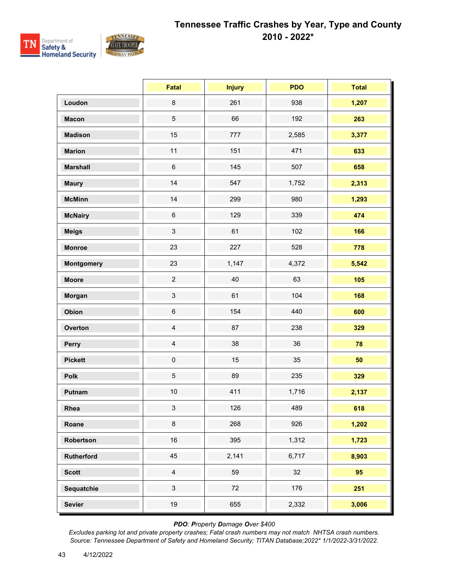

|                   | <b>Fatal</b>   | <b>Injury</b> | <b>PDO</b> | <b>Total</b> |
|-------------------|----------------|---------------|------------|--------------|
| Loudon            | $\bf 8$        | 261           | 938        | 1,207        |
| <b>Macon</b>      | 5              | 66            | 192        | 263          |
| <b>Madison</b>    | 15             | 777           | 2,585      | 3,377        |
| <b>Marion</b>     | 11             | 151           | 471        | 633          |
| <b>Marshall</b>   | $\,6$          | 145           | 507        | 658          |
| <b>Maury</b>      | 14             | 547           | 1,752      | 2,313        |
| <b>McMinn</b>     | 14             | 299           | 980        | 1,293        |
| <b>McNairy</b>    | $\,6$          | 129           | 339        | 474          |
| <b>Meigs</b>      | $\mathfrak{S}$ | 61            | 102        | 166          |
| <b>Monroe</b>     | 23             | 227           | 528        | 778          |
| <b>Montgomery</b> | 23             | 1,147         | 4,372      | 5,542        |
| <b>Moore</b>      | $\overline{2}$ | 40            | 63         | 105          |
| Morgan            | 3              | 61            | 104        | 168          |
| Obion             | $\,6\,$        | 154           | 440        | 600          |
| Overton           | $\overline{4}$ | 87            | 238        | 329          |
| Perry             | $\overline{4}$ | 38            | 36         | 78           |
| <b>Pickett</b>    | $\pmb{0}$      | 15            | 35         | 50           |
| Polk              | 5              | 89            | 235        | 329          |
| Putnam            | $10$           | 411           | 1,716      | 2,137        |
| Rhea              | $\mathbf{3}$   | 126           | 489        | 618          |
| Roane             | 8              | 268           | 926        | 1,202        |
| Robertson         | 16             | 395           | 1,312      | 1,723        |
| <b>Rutherford</b> | 45             | 2,141         | 6,717      | 8,903        |
| <b>Scott</b>      | $\overline{4}$ | 59            | 32         | 95           |
| Sequatchie        | $\mathbf{3}$   | 72            | 176        | 251          |
| <b>Sevier</b>     | 19             | 655           | 2,332      | 3,006        |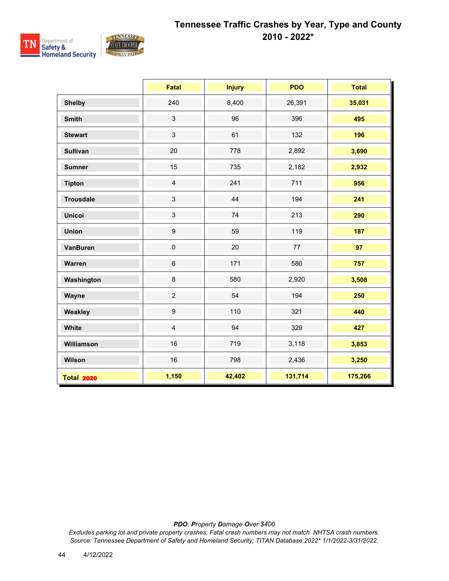

|                   | <b>Fatal</b>     | <b>Injury</b> | <b>PDO</b> | <b>Total</b> |
|-------------------|------------------|---------------|------------|--------------|
| <b>Shelby</b>     | 240              | 8,400         | 26,391     | 35,031       |
| <b>Smith</b>      | $\mathfrak{S}$   | 96            | 396        | 495          |
| <b>Stewart</b>    | $\mathfrak{S}$   | 61            | 132        | 196          |
| <b>Sullivan</b>   | 20               | 778           | 2,892      | 3,690        |
| <b>Sumner</b>     | 15               | 735           | 2,182      | 2,932        |
| <b>Tipton</b>     | $\overline{4}$   | 241           | 711        | 956          |
| <b>Trousdale</b>  | $\mathfrak{S}$   | 44            | 194        | 241          |
| <b>Unicoi</b>     | $\mathbf{3}$     | 74            | 213        | 290          |
| <b>Union</b>      | $\boldsymbol{9}$ | 59            | 119        | 187          |
| <b>VanBuren</b>   | $\pmb{0}$        | 20            | 77         | 97           |
| Warren            | $\,6\,$          | 171           | 580        | 757          |
| Washington        | $\bf 8$          | 580           | 2,920      | 3,508        |
| Wayne             | $\overline{2}$   | 54            | 194        | 250          |
| Weakley           | $\boldsymbol{9}$ | 110           | 321        | 440          |
| White             | $\overline{4}$   | 94            | 329        | 427          |
| Williamson        | 16               | 719           | 3,118      | 3,853        |
| Wilson            | 16               | 798           | 2,436      | 3,250        |
| <b>Total 2020</b> | 1,150            | 42,402        | 131,714    | 175,266      |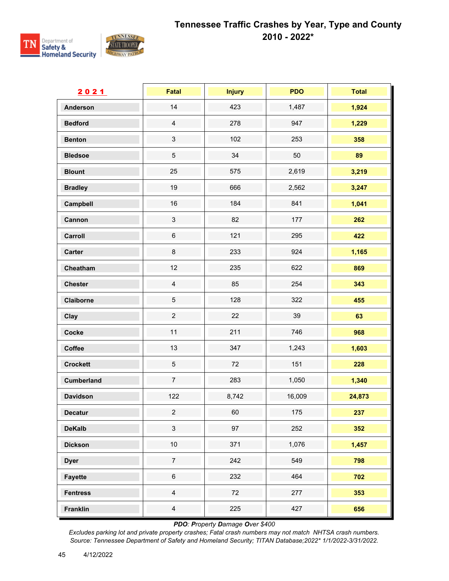

| 2021              | <b>Fatal</b>              | <b>Injury</b> | <b>PDO</b> | <b>Total</b> |
|-------------------|---------------------------|---------------|------------|--------------|
| <b>Anderson</b>   | 14                        | 423           | 1,487      | 1,924        |
| <b>Bedford</b>    | $\overline{4}$            | 278           | 947        | 1,229        |
| <b>Benton</b>     | $\ensuremath{\mathsf{3}}$ | 102           | 253        | 358          |
| <b>Bledsoe</b>    | $\,$ 5 $\,$               | 34            | 50         | 89           |
| <b>Blount</b>     | 25                        | 575           | 2,619      | 3,219        |
| <b>Bradley</b>    | 19                        | 666           | 2,562      | 3,247        |
| Campbell          | 16                        | 184           | 841        | 1,041        |
| Cannon            | $\ensuremath{\mathsf{3}}$ | 82            | 177        | 262          |
| Carroll           | $\,6\,$                   | 121           | 295        | 422          |
| <b>Carter</b>     | $\bf 8$                   | 233           | 924        | 1,165        |
| Cheatham          | 12                        | 235           | 622        | 869          |
| <b>Chester</b>    | $\overline{4}$            | 85            | 254        | 343          |
| Claiborne         | $\sqrt{5}$                | 128           | 322        | 455          |
| Clay              | $\overline{2}$            | 22            | 39         | 63           |
| Cocke             | 11                        | 211           | 746        | 968          |
| Coffee            | 13                        | 347           | 1,243      | 1,603        |
| <b>Crockett</b>   | $\sqrt{5}$                | 72            | 151        | 228          |
| <b>Cumberland</b> | $\overline{7}$            | 283           | 1,050      | 1,340        |
| <b>Davidson</b>   | 122                       | 8,742         | 16,009     | 24,873       |
| <b>Decatur</b>    | $\overline{c}$            | 60            | 175        | 237          |
| <b>DeKalb</b>     | $\mathfrak{S}$            | 97            | 252        | 352          |
| <b>Dickson</b>    | $10\,$                    | 371           | 1,076      | 1,457        |
| <b>Dyer</b>       | $\boldsymbol{7}$          | 242           | 549        | 798          |
| <b>Fayette</b>    | $\,6\,$                   | 232           | 464        | 702          |
| <b>Fentress</b>   | $\overline{4}$            | 72            | 277        | 353          |
| Franklin          | $\overline{4}$            | 225           | 427        | 656          |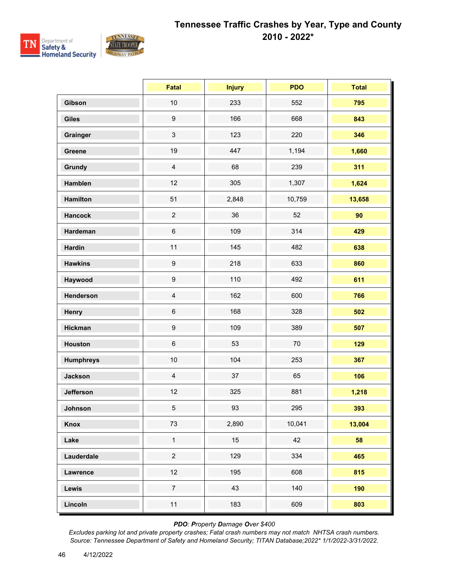

|                  | <b>Fatal</b>     | <b>Injury</b> | <b>PDO</b> | <b>Total</b> |
|------------------|------------------|---------------|------------|--------------|
| Gibson           | 10               | 233           | 552        | 795          |
| <b>Giles</b>     | $\boldsymbol{9}$ | 166           | 668        | 843          |
| Grainger         | 3                | 123           | 220        | 346          |
| Greene           | 19               | 447           | 1,194      | 1,660        |
| Grundy           | $\overline{4}$   | 68            | 239        | 311          |
| Hamblen          | 12               | 305           | 1,307      | 1,624        |
| <b>Hamilton</b>  | 51               | 2,848         | 10,759     | 13,658       |
| <b>Hancock</b>   | $\overline{c}$   | 36            | 52         | 90           |
| Hardeman         | $\,6\,$          | 109           | 314        | 429          |
| <b>Hardin</b>    | 11               | 145           | 482        | 638          |
| <b>Hawkins</b>   | $\boldsymbol{9}$ | 218           | 633        | 860          |
| Haywood          | $\boldsymbol{9}$ | 110           | 492        | 611          |
| Henderson        | $\overline{4}$   | 162           | 600        | 766          |
| Henry            | $\,6\,$          | 168           | 328        | 502          |
| <b>Hickman</b>   | $\boldsymbol{9}$ | 109           | 389        | 507          |
| <b>Houston</b>   | $\,6\,$          | 53            | 70         | 129          |
| <b>Humphreys</b> | 10               | 104           | 253        | 367          |
| <b>Jackson</b>   | $\overline{4}$   | 37            | 65         | 106          |
| <b>Jefferson</b> | 12               | 325           | 881        | 1,218        |
| Johnson          | 5 <sub>5</sub>   | 93            | 295        | 393          |
| Knox             | 73               | 2,890         | 10,041     | 13,004       |
| Lake             | $\mathbf 1$      | 15            | 42         | 58           |
| Lauderdale       | $\overline{2}$   | 129           | 334        | 465          |
| Lawrence         | 12               | 195           | 608        | 815          |
| Lewis            | $\overline{7}$   | 43            | 140        | 190          |
| Lincoln          | 11               | 183           | 609        | 803          |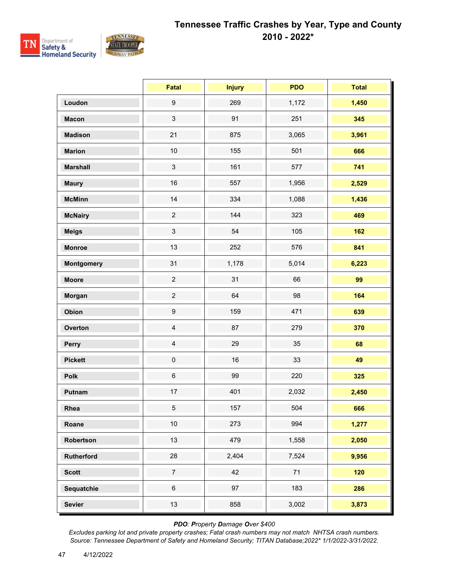

|                   | <b>Fatal</b>     | <b>Injury</b> | <b>PDO</b> | <b>Total</b> |
|-------------------|------------------|---------------|------------|--------------|
| Loudon            | $\boldsymbol{9}$ | 269           | 1,172      | 1,450        |
| <b>Macon</b>      | $\mathbf{3}$     | 91            | 251        | 345          |
| <b>Madison</b>    | 21               | 875           | 3,065      | 3,961        |
| <b>Marion</b>     | 10               | 155           | 501        | 666          |
| <b>Marshall</b>   | $\mathbf{3}$     | 161           | 577        | 741          |
| <b>Maury</b>      | 16               | 557           | 1,956      | 2,529        |
| <b>McMinn</b>     | 14               | 334           | 1,088      | 1,436        |
| <b>McNairy</b>    | $\overline{c}$   | 144           | 323        | 469          |
| <b>Meigs</b>      | $\mathbf{3}$     | 54            | 105        | 162          |
| <b>Monroe</b>     | 13               | 252           | 576        | 841          |
| <b>Montgomery</b> | 31               | 1,178         | 5,014      | 6,223        |
| <b>Moore</b>      | $\overline{2}$   | 31            | 66         | 99           |
| Morgan            | $\overline{2}$   | 64            | 98         | 164          |
| Obion             | $\boldsymbol{9}$ | 159           | 471        | 639          |
| Overton           | $\overline{4}$   | 87            | 279        | 370          |
| Perry             | $\overline{4}$   | 29            | 35         | 68           |
| <b>Pickett</b>    | $\pmb{0}$        | 16            | 33         | 49           |
| Polk              | $\,6\,$          | 99            | 220        | 325          |
| Putnam            | 17               | 401           | 2,032      | 2,450        |
| Rhea              | $5\phantom{.0}$  | 157           | 504        | 666          |
| Roane             | 10               | 273           | 994        | 1,277        |
| Robertson         | 13               | 479           | 1,558      | 2,050        |
| Rutherford        | 28               | 2,404         | 7,524      | 9,956        |
| <b>Scott</b>      | $\overline{7}$   | 42            | 71         | 120          |
| Sequatchie        | $\,6\,$          | 97            | 183        | 286          |
| <b>Sevier</b>     | 13               | 858           | 3,002      | 3,873        |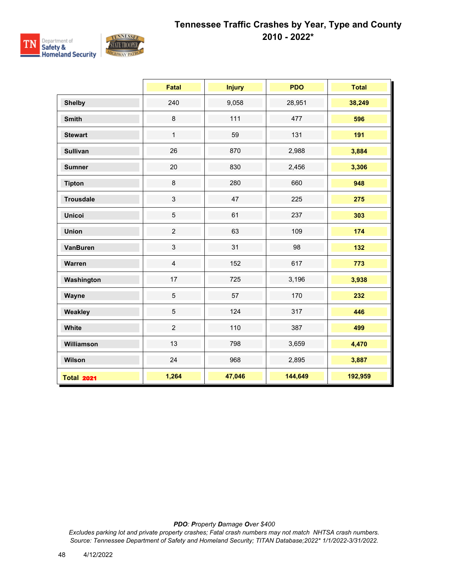

|                   | <b>Fatal</b>   | <b>Injury</b> | <b>PDO</b> | <b>Total</b> |
|-------------------|----------------|---------------|------------|--------------|
| <b>Shelby</b>     | 240            | 9,058         | 28,951     | 38,249       |
| <b>Smith</b>      | $\bf 8$        | 111           | 477        | 596          |
| <b>Stewart</b>    | $\mathbf{1}$   | 59            | 131        | 191          |
| <b>Sullivan</b>   | 26             | 870           | 2,988      | 3,884        |
| <b>Sumner</b>     | 20             | 830           | 2,456      | 3,306        |
| <b>Tipton</b>     | 8              | 280           | 660        | 948          |
| <b>Trousdale</b>  | $\mathbf{3}$   | 47            | 225        | 275          |
| <b>Unicoi</b>     | $\overline{5}$ | 61            | 237        | 303          |
| <b>Union</b>      | $\overline{2}$ | 63            | 109        | 174          |
| <b>VanBuren</b>   | $\mathsf 3$    | 31            | 98         | 132          |
| Warren            | $\overline{4}$ | 152           | 617        | 773          |
| Washington        | 17             | 725           | 3,196      | 3,938        |
| Wayne             | $\overline{5}$ | 57            | 170        | 232          |
| Weakley           | $\overline{5}$ | 124           | 317        | 446          |
| White             | $\overline{2}$ | 110           | 387        | 499          |
| Williamson        | 13             | 798           | 3,659      | 4,470        |
| Wilson            | 24             | 968           | 2,895      | 3,887        |
| <b>Total 2021</b> | 1,264          | 47,046        | 144,649    | 192,959      |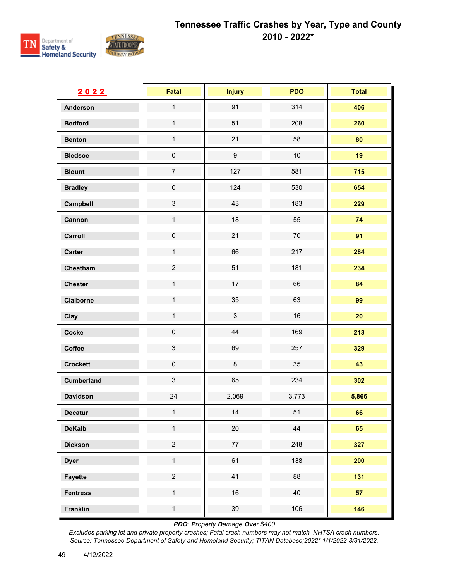

| 2022              | <b>Fatal</b>   | <b>Injury</b>    | <b>PDO</b> | <b>Total</b> |
|-------------------|----------------|------------------|------------|--------------|
| <b>Anderson</b>   | $\mathbf{1}$   | 91               | 314        | 406          |
| <b>Bedford</b>    | $\mathbf{1}$   | 51               | 208        | 260          |
| <b>Benton</b>     | $\mathbf 1$    | 21               | 58         | 80           |
| <b>Bledsoe</b>    | $\pmb{0}$      | $\boldsymbol{9}$ | $10$       | 19           |
| <b>Blount</b>     | $\overline{7}$ | 127              | 581        | 715          |
| <b>Bradley</b>    | $\mathbf 0$    | 124              | 530        | 654          |
| Campbell          | $\mathbf{3}$   | 43               | 183        | 229          |
| Cannon            | $\mathbf{1}$   | 18               | 55         | 74           |
| Carroll           | $\pmb{0}$      | 21               | $70\,$     | 91           |
| Carter            | $\mathbf{1}$   | 66               | 217        | 284          |
| Cheatham          | $\overline{2}$ | 51               | 181        | 234          |
| <b>Chester</b>    | $\mathbf 1$    | 17               | 66         | 84           |
| Claiborne         | $\mathbf{1}$   | 35               | 63         | 99           |
| Clay              | $\mathbf{1}$   | $\mathfrak{S}$   | 16         | 20           |
| Cocke             | $\mathbf 0$    | $44\,$           | 169        | 213          |
| Coffee            | $\mathfrak{S}$ | 69               | 257        | 329          |
| <b>Crockett</b>   | $\pmb{0}$      | $\bf 8$          | 35         | 43           |
| <b>Cumberland</b> | $\mathfrak{S}$ | 65               | 234        | 302          |
| <b>Davidson</b>   | 24             | 2,069            | 3,773      | 5,866        |
| Decatur           | $\mathbf{1}$   | 14               | 51         | 66           |
| <b>DeKalb</b>     | $\mathbf 1$    | $20\,$           | 44         | 65           |
| <b>Dickson</b>    | $\overline{a}$ | $77\,$           | 248        | 327          |
| <b>Dyer</b>       | $\mathbf{1}$   | 61               | 138        | 200          |
| <b>Fayette</b>    | $\overline{a}$ | 41               | 88         | 131          |
| <b>Fentress</b>   | $\mathbf{1}$   | $16\,$           | 40         | 57           |
| Franklin          | $\mathbf{1}$   | 39               | 106        | 146          |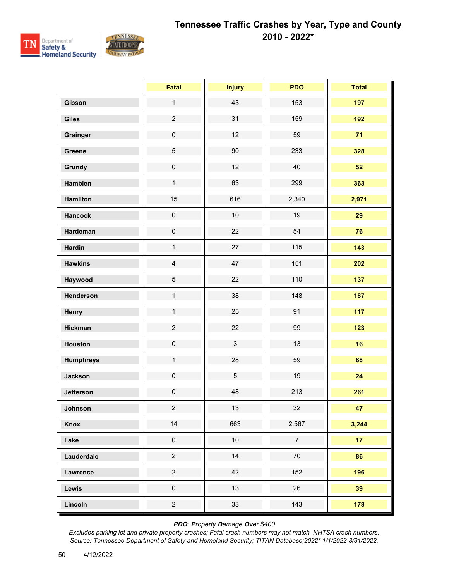

|                  | <b>Fatal</b>        | <b>Injury</b>  | <b>PDO</b>     | <b>Total</b>    |
|------------------|---------------------|----------------|----------------|-----------------|
| Gibson           | $\mathbf{1}$        | 43             | 153            | 197             |
| <b>Giles</b>     | $\overline{2}$      | 31             | 159            | 192             |
| Grainger         | $\mathbf 0$         | 12             | 59             | 71              |
| Greene           | $\sqrt{5}$          | $90\,$         | 233            | 328             |
| Grundy           | $\mathsf{O}\xspace$ | 12             | 40             | 52              |
| Hamblen          | $\mathbf{1}$        | 63             | 299            | 363             |
| Hamilton         | 15                  | 616            | 2,340          | 2,971           |
| <b>Hancock</b>   | $\pmb{0}$           | $10$           | 19             | 29              |
| Hardeman         | $\mathsf{O}\xspace$ | 22             | 54             | 76              |
| <b>Hardin</b>    | $\mathbf{1}$        | 27             | 115            | 143             |
| <b>Hawkins</b>   | $\overline{4}$      | 47             | 151            | 202             |
| Haywood          | 5                   | 22             | 110            | 137             |
| Henderson        | $\mathbf{1}$        | 38             | 148            | 187             |
| Henry            | $\mathbf{1}$        | 25             | 91             | 117             |
| <b>Hickman</b>   | $\overline{c}$      | 22             | 99             | 123             |
| <b>Houston</b>   | $\pmb{0}$           | $\mathbf{3}$   | 13             | 16              |
| <b>Humphreys</b> | $\mathbf 1$         | 28             | 59             | 88              |
| <b>Jackson</b>   | $\mathbf 0$         | $\overline{5}$ | 19             | 24              |
| Jefferson        | $\pmb{0}$           | 48             | 213            | 261             |
| Johnson          | $\overline{2}$      | 13             | 32             | 47              |
| Knox             | 14                  | 663            | 2,567          | 3,244           |
| Lake             | $\pmb{0}$           | $10\,$         | $\overline{7}$ | 17 <sub>2</sub> |
| Lauderdale       | $\overline{a}$      | 14             | $70\,$         | 86              |
| Lawrence         | $\overline{a}$      | 42             | 152            | 196             |
| Lewis            | $\pmb{0}$           | 13             | 26             | 39              |
| Lincoln          | $\overline{c}$      | 33             | 143            | 178             |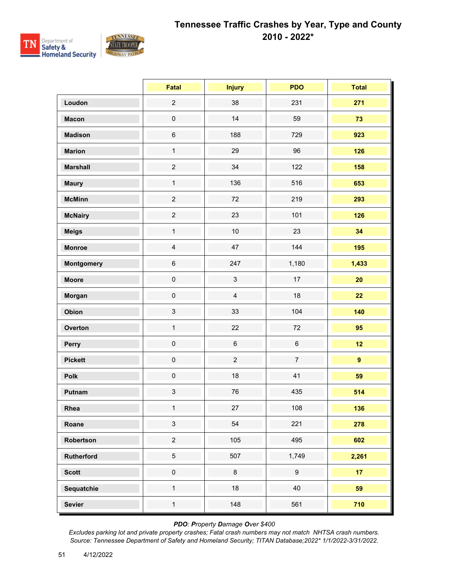

|                   | <b>Fatal</b>   | <b>Injury</b>  | <b>PDO</b>       | <b>Total</b>    |
|-------------------|----------------|----------------|------------------|-----------------|
| Loudon            | $\overline{c}$ | 38             | 231              | 271             |
| <b>Macon</b>      | $\pmb{0}$      | 14             | 59               | 73              |
| <b>Madison</b>    | $\,6\,$        | 188            | 729              | 923             |
| <b>Marion</b>     | $\mathbf{1}$   | 29             | 96               | 126             |
| <b>Marshall</b>   | $\overline{c}$ | 34             | 122              | 158             |
| <b>Maury</b>      | $\mathbf{1}$   | 136            | 516              | 653             |
| <b>McMinn</b>     | $\overline{2}$ | 72             | 219              | 293             |
| <b>McNairy</b>    | $\overline{c}$ | 23             | 101              | 126             |
| <b>Meigs</b>      | $\mathbf{1}$   | $10$           | 23               | 34              |
| <b>Monroe</b>     | $\overline{4}$ | 47             | 144              | 195             |
| <b>Montgomery</b> | $\,6$          | 247            | 1,180            | 1,433           |
| <b>Moore</b>      | $\mathbf 0$    | $\mathbf{3}$   | 17               | 20              |
| Morgan            | $\mathsf 0$    | $\overline{4}$ | 18               | 22              |
| Obion             | $\mathfrak{S}$ | 33             | 104              | 140             |
| Overton           | $\mathbf{1}$   | 22             | 72               | 95              |
| Perry             | $\pmb{0}$      | $\,6\,$        | $\,6\,$          | 12              |
| <b>Pickett</b>    | $\pmb{0}$      | $\overline{2}$ | $\overline{7}$   | 9               |
| <b>Polk</b>       | $\pmb{0}$      | 18             | 41               | 59              |
| Putnam            | $\mathbf{3}$   | 76             | 435              | 514             |
| Rhea              | $\mathbf{1}$   | 27             | 108              | 136             |
| Roane             | $\mathbf{3}$   | 54             | 221              | 278             |
| Robertson         | $\overline{c}$ | 105            | 495              | 602             |
| Rutherford        | $\overline{5}$ | 507            | 1,749            | 2,261           |
| <b>Scott</b>      | $\pmb{0}$      | $\bf 8$        | $\boldsymbol{9}$ | 17 <sub>2</sub> |
| Sequatchie        | $\mathbf{1}$   | 18             | 40               | 59              |
| <b>Sevier</b>     | $\mathbf{1}$   | 148            | 561              | 710             |